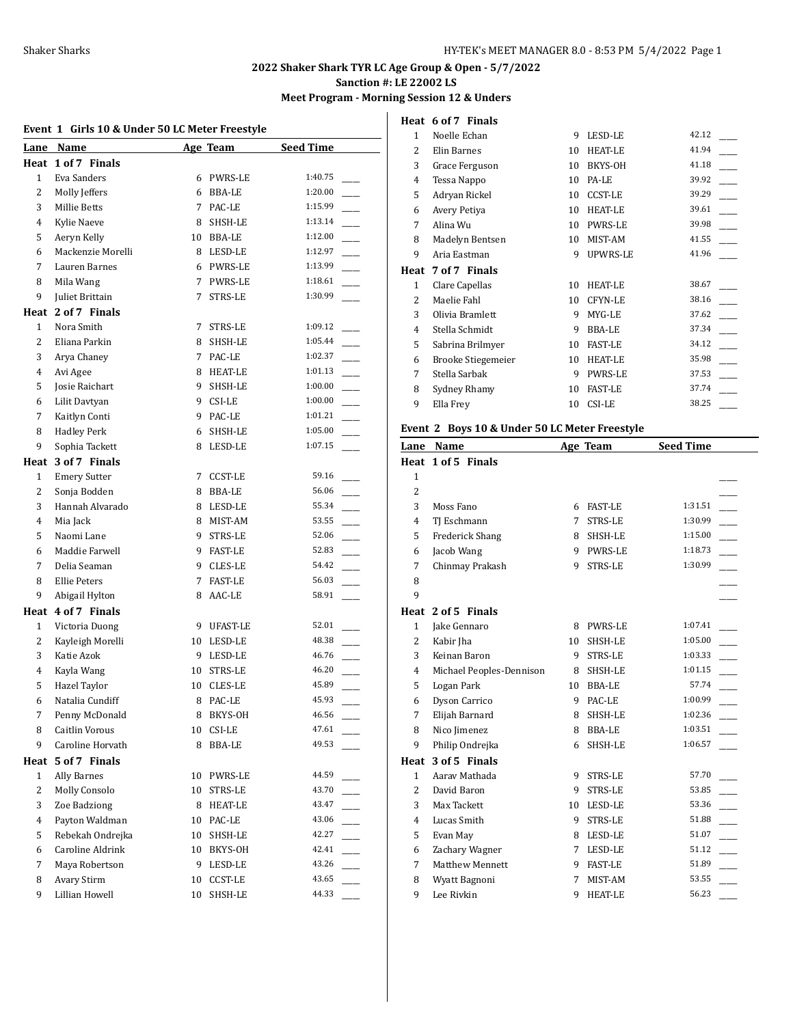# **Meet Program - Morning Session 12 & Unders**

# **Event 1 Girls 10 & Under 50 LC Meter Freestyle**

|                | Lane Name           |             | Age Team       | <b>Seed Time</b> |  |
|----------------|---------------------|-------------|----------------|------------------|--|
| Heat           | 1 of 7 Finals       |             |                |                  |  |
| $\mathbf{1}$   | Eva Sanders         |             | 6 PWRS-LE      | 1:40.75          |  |
| 2              | Molly Jeffers       | 6           | BBA-LE         | 1:20.00          |  |
| 3              | <b>Millie Betts</b> | $7^{\circ}$ | PAC-LE         | 1:15.99          |  |
| 4              | Kylie Naeve         | 8           | SHSH-LE        | 1:13.14          |  |
| 5              | Aeryn Kelly         |             | 10 BBA-LE      | 1:12.00          |  |
| 6              | Mackenzie Morelli   |             | 8 LESD-LE      | 1:12.97          |  |
| 7              | Lauren Barnes       |             | 6 PWRS-LE      | 1:13.99          |  |
| 8              | Mila Wang           | 7           | PWRS-LE        | 1:18.61          |  |
| 9              | Juliet Brittain     | 7           | <b>STRS-LE</b> | 1:30.99          |  |
|                | Heat 2 of 7 Finals  |             |                |                  |  |
| $\mathbf{1}$   | Nora Smith          | 7           | STRS-LE        | 1:09.12          |  |
| 2              | Eliana Parkin       | 8           | SHSH-LE        | 1:05.44          |  |
| 3              | Arya Chaney         | 7           | PAC-LE         | 1:02.37          |  |
| 4              | Avi Agee            | 8           | <b>HEAT-LE</b> | 1:01.13          |  |
| 5              | Josie Raichart      | 9.          | SHSH-LE        | 1:00.00          |  |
| 6              | Lilit Davtyan       |             | 9 CSI-LE       | 1:00.00          |  |
| 7              | Kaitlyn Conti       | 9           | PAC-LE         | 1:01.21          |  |
| 8              | <b>Hadley Perk</b>  | 6           | SHSH-LE        | 1:05.00          |  |
| 9              | Sophia Tackett      | 8           | LESD-LE        | 1:07.15          |  |
| Heat           | 3 of 7 Finals       |             |                |                  |  |
| $\mathbf{1}$   | <b>Emery Sutter</b> |             | 7 CCST-LE      | 59.16            |  |
| 2              | Sonja Bodden        | 8           | BBA-LE         | 56.06            |  |
| 3              | Hannah Alvarado     | 8           | LESD-LE        | 55.34            |  |
| 4              | Mia Jack            | 8           | MIST-AM        | 53.55            |  |
| 5              | Naomi Lane          | 9.          | STRS-LE        | 52.06            |  |
| 6              | Maddie Farwell      | 9.          | <b>FAST-LE</b> | 52.83            |  |
| 7              | Delia Seaman        | 9.          | CLES-LE        | 54.42            |  |
| 8              | <b>Ellie Peters</b> | 7           | FAST-LE        | 56.03            |  |
| 9              | Abigail Hylton      | 8           | AAC-LE         | 58.91            |  |
|                | Heat 4 of 7 Finals  |             |                |                  |  |
| $\mathbf{1}$   | Victoria Duong      |             | 9 UFAST-LE     | 52.01            |  |
| 2              | Kayleigh Morelli    |             | 10 LESD-LE     | 48.38            |  |
| 3              | Katie Azok          |             | 9 LESD-LE      | 46.76            |  |
| 4              | Kayla Wang          |             | 10 STRS-LE     | 46.20            |  |
| 5              | Hazel Taylor        |             | 10 CLES-LE     | 45.89            |  |
| 6              | Natalia Cundiff     | 8           | PAC-LE         | 45.93            |  |
| 7              | Penny McDonald      |             | 8 BKYS-OH      | $46.56$ $-$      |  |
| 8              | Caitlin Vorous      |             | 10 CSI-LE      | 47.61            |  |
| 9              | Caroline Horvath    | 8           | BBA-LE         | 49.53            |  |
| Heat           | 5 of 7 Finals       |             |                |                  |  |
| $\mathbf{1}$   | <b>Ally Barnes</b>  | 10          | PWRS-LE        | 44.59            |  |
| 2              | Molly Consolo       | 10          | STRS-LE        | 43.70            |  |
| 3              | Zoe Badziong        | 8           | <b>HEAT-LE</b> | 43.47            |  |
| $\overline{4}$ | Payton Waldman      | 10          | PAC-LE         | 43.06            |  |
| 5              | Rebekah Ondrejka    | 10          | SHSH-LE        | 42.27            |  |
| 6              | Caroline Aldrink    | 10          | BKYS-OH        | 42.41            |  |
| 7              | Maya Robertson      | 9           | LESD-LE        | 43.26            |  |
| 8              | Avary Stirm         | 10          | CCST-LE        | 43.65            |  |
| 9              | Lillian Howell      | 10          | SHSH-LE        | 44.33            |  |

| Heat         | 6 of 7 Finals             |    |                |       |
|--------------|---------------------------|----|----------------|-------|
| $\mathbf{1}$ | Noelle Echan              | 9  | LESD-LE        | 42.12 |
| 2            | Elin Barnes               | 10 | <b>HEAT-LE</b> | 41.94 |
| 3            | Grace Ferguson            | 10 | BKYS-OH        | 41.18 |
| 4            | Tessa Nappo               | 10 | PA-LE          | 39.92 |
| 5            | Adryan Rickel             | 10 | <b>CCST-LE</b> | 39.29 |
| 6            | Avery Petiya              | 10 | <b>HEAT-LE</b> | 39.61 |
| 7            | Alina Wu                  | 10 | <b>PWRS-LE</b> | 39.98 |
| 8            | Madelyn Bentsen           | 10 | MIST-AM        | 41.55 |
| 9            | Aria Eastman              | 9  | UPWRS-LE       | 41.96 |
| Heat         | 7 of 7 Finals             |    |                |       |
|              |                           |    |                |       |
| $\mathbf{1}$ | Clare Capellas            | 10 | <b>HEAT-LE</b> | 38.67 |
| 2            | Maelie Fahl               | 10 | CFYN-LE        | 38.16 |
| 3            | Olivia Bramlett           | 9  | MYG-LE         | 37.62 |
| 4            | Stella Schmidt            | 9  | BBA-LE         | 37.34 |
| 5            | Sabrina Brilmyer          | 10 | <b>FAST-LE</b> | 34.12 |
| 6            | <b>Brooke Stiegemeier</b> | 10 | <b>HEAT-LE</b> | 35.98 |
| 7            | Stella Sarbak             | 9  | <b>PWRS-LE</b> | 37.53 |
| 8            | Sydney Rhamy              | 10 | <b>FAST-LE</b> | 37.74 |
| 9            | Ella Frey                 | 10 | CSI-LE         | 38.25 |

# **Event 2 Boys 10 & Under 50 LC Meter Freestyle**

| Name                     |    |                | <b>Seed Time</b> |  |
|--------------------------|----|----------------|------------------|--|
| 1 of 5 Finals            |    |                |                  |  |
|                          |    |                |                  |  |
|                          |    |                |                  |  |
| Moss Fano                | 6  | <b>FAST-LE</b> | 1:31.51          |  |
| TJ Eschmann              | 7  | <b>STRS-LE</b> | 1:30.99          |  |
| <b>Frederick Shang</b>   | 8  | SHSH-LE        | 1:15.00          |  |
| Jacob Wang               | 9  | <b>PWRS-LE</b> | 1:18.73          |  |
| Chinmay Prakash          | 9  | <b>STRS-LE</b> | 1:30.99          |  |
|                          |    |                |                  |  |
|                          |    |                |                  |  |
| 2 of 5 Finals            |    |                |                  |  |
| Jake Gennaro             | 8  | <b>PWRS-LE</b> | 1:07.41          |  |
| Kabir Jha                | 10 | SHSH-LE        | 1:05.00          |  |
| Keinan Baron             | 9  | <b>STRS-LE</b> | 1:03.33          |  |
| Michael Peoples-Dennison | 8  | SHSH-LE        | 1:01.15          |  |
| Logan Park               | 10 | BBA-LE         | 57.74            |  |
| Dyson Carrico            | 9  | PAC-LE         | 1:00.99          |  |
| Elijah Barnard           | 8  | SHSH-LE        | 1:02.36          |  |
| Nico Jimenez             | 8  | <b>BBA-LE</b>  | 1:03.51          |  |
| Philip Ondrejka          | 6  | SHSH-LE        | 1:06.57          |  |
| 3 of 5 Finals            |    |                |                  |  |
| Aarav Mathada            | 9  | <b>STRS-LE</b> | 57.70            |  |
| David Baron              | 9  | <b>STRS-LE</b> | 53.85            |  |
| Max Tackett              | 10 | LESD-LE        | 53.36            |  |
| Lucas Smith              | 9  | <b>STRS-LE</b> | 51.88            |  |
| Evan May                 | 8  | LESD-LE        | 51.07            |  |
| Zachary Wagner           | 7  | LESD-LE        | 51.12            |  |
| <b>Matthew Mennett</b>   | 9  | <b>FAST-LE</b> | 51.89            |  |
| Wyatt Bagnoni            | 7  | MIST-AM        | 53.55            |  |
| Lee Rivkin               | 9  | <b>HEAT-LE</b> | 56.23            |  |
|                          |    |                | Age Team         |  |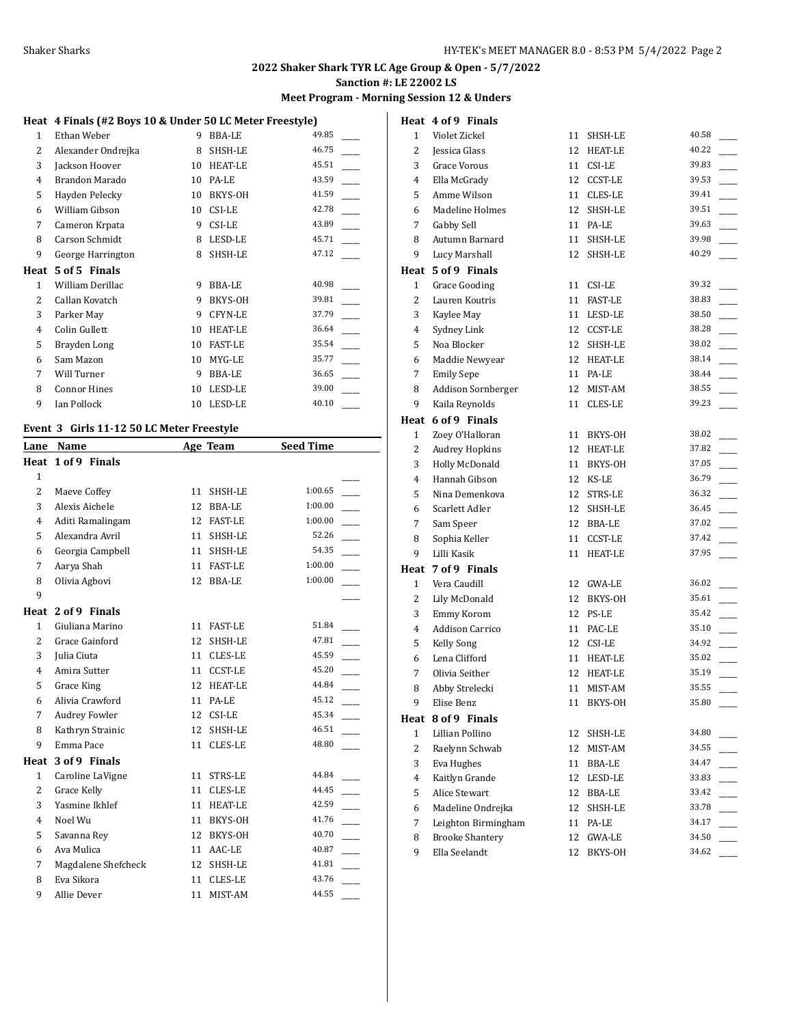#### **Meet Program - Morning Session 12 & Unders**

# **Heat 4 Finals (#2 Boys 10 & Under 50 LC Meter Freestyle)**

| 1              | Ethan Weber         | 9  | <b>BBA-LE</b>  | 49.85 |
|----------------|---------------------|----|----------------|-------|
| 2              | Alexander Ondrejka  | 8  | SHSH-LE        | 46.75 |
| 3              | Jackson Hoover      | 10 | <b>HEAT-LE</b> | 45.51 |
| 4              | Brandon Marado      | 10 | PA-LE          | 43.59 |
| 5              | Hayden Pelecky      | 10 | BKYS-OH        | 41.59 |
| 6              | William Gibson      | 10 | CSI-LE         | 42.78 |
| 7              | Cameron Krpata      | 9  | CSI-LE         | 43.89 |
| 8              | Carson Schmidt      | 8  | LESD-LE        | 45.71 |
| 9              | George Harrington   | 8  | SHSH-LE        | 47.12 |
| Heat           | 5 of 5 Finals       |    |                |       |
|                |                     |    |                | 40.98 |
| 1              | William Derillac    | 9  | <b>BBA-LE</b>  |       |
| 2              | Callan Kovatch      | 9  | BKYS-OH        | 39.81 |
| 3              | Parker May          | 9  | <b>CFYN-LE</b> | 37.79 |
| $\overline{4}$ | Colin Gullett       | 10 | <b>HEAT-LE</b> | 36.64 |
| 5              | Brayden Long        | 10 | <b>FAST-LE</b> | 35.54 |
| 6              | Sam Mazon           | 10 | MYG-LE         | 35.77 |
| 7              | Will Turner         | 9  | BBA-LE         | 36.65 |
| 8              | <b>Connor Hines</b> | 10 | LESD-LE        | 39.00 |
| 9              | Ian Pollock         | 10 | LESD-LE        | 40.10 |

#### **Event 3 Girls 11-12 50 LC Meter Freestyle**

| Lane           | Name                  |    | Age Team       | <b>Seed Time</b> |  |
|----------------|-----------------------|----|----------------|------------------|--|
|                | Heat 1 of 9 Finals    |    |                |                  |  |
| $\mathbf{1}$   |                       |    |                |                  |  |
| $\overline{2}$ | Maeve Coffey          | 11 | SHSH-LE        | 1:00.65          |  |
| 3              | Alexis Aichele        | 12 | BBA-LE         | 1:00.00          |  |
| 4              | Aditi Ramalingam      | 12 | <b>FAST-LE</b> | 1:00.00          |  |
| 5              | Alexandra Avril       | 11 | SHSH-LE        | 52.26            |  |
| 6              | Georgia Campbell      | 11 | SHSH-LE        | 54.35            |  |
| 7              | Aarya Shah            | 11 | <b>FAST-LE</b> | 1:00.00          |  |
| 8              | Olivia Agbovi         | 12 | <b>BBA-LE</b>  | 1:00.00          |  |
| 9              |                       |    |                |                  |  |
|                | Heat 2 of 9 Finals    |    |                |                  |  |
| $\mathbf{1}$   | Giuliana Marino       | 11 | <b>FAST-LE</b> | 51.84            |  |
| $\overline{2}$ | <b>Grace Gainford</b> | 12 | SHSH-LE        | 47.81            |  |
| 3              | Julia Ciuta           | 11 | <b>CLES-LE</b> | 45.59            |  |
| 4              | Amira Sutter          | 11 | <b>CCST-LE</b> | 45.20            |  |
| 5              | <b>Grace King</b>     | 12 | <b>HEAT-LE</b> | 44.84            |  |
| 6              | Alivia Crawford       | 11 | PA-LE          | 45.12            |  |
| 7              | <b>Audrey Fowler</b>  | 12 | CSI-LE         | 45.34            |  |
| 8              | Kathryn Strainic      | 12 | SHSH-LE        | 46.51            |  |
| 9              | Emma Pace             | 11 | CLES-LE        | 48.80            |  |
| Heat           | 3 of 9 Finals         |    |                |                  |  |
| $\mathbf{1}$   | Caroline LaVigne      | 11 | STRS-LE        | 44.84            |  |
| $\overline{2}$ | Grace Kelly           | 11 | <b>CLES-LE</b> | 44.45            |  |
| 3              | Yasmine Ikhlef        | 11 | <b>HEAT-LE</b> | 42.59            |  |
| 4              | Noel Wu               | 11 | BKYS-OH        | 41.76            |  |
| 5              | Savanna Rev           | 12 | BKYS-OH        | 40.70            |  |
| 6              | Ava Mulica            | 11 | AAC-LE         | 40.87            |  |
| 7              | Magdalene Shefcheck   | 12 | SHSH-LE        | 41.81            |  |
| 8              | Eva Sikora            | 11 | <b>CLES-LE</b> | 43.76            |  |
| 9              | Allie Dever           | 11 | MIST-AM        | 44.55            |  |
|                |                       |    |                |                  |  |

|                | Heat 4 of 9 Finals     |    |                |       |
|----------------|------------------------|----|----------------|-------|
| $\mathbf{1}$   | Violet Zickel          | 11 | SHSH-LE        | 40.58 |
| 2              | Jessica Glass          | 12 | HEAT-LE        | 40.22 |
| 3              | Grace Vorous           | 11 | CSI-LE         | 39.83 |
| $\overline{4}$ | Ella McGrady           | 12 | <b>CCST-LE</b> | 39.53 |
| 5              | Amme Wilson            | 11 | CLES-LE        | 39.41 |
| 6              | Madeline Holmes        | 12 | SHSH-LE        | 39.51 |
| 7              | Gabby Sell             | 11 | PA-LE          | 39.63 |
| 8              | Autumn Barnard         | 11 | SHSH-LE        | 39.98 |
| 9              | Lucy Marshall          | 12 | SHSH-LE        | 40.29 |
|                | Heat 5 of 9 Finals     |    |                |       |
| $\mathbf{1}$   | <b>Grace Gooding</b>   | 11 | CSI-LE         | 39.32 |
| 2              | Lauren Koutris         | 11 | <b>FAST-LE</b> | 38.83 |
| 3              | Kaylee May             | 11 | LESD-LE        | 38.50 |
| $\overline{4}$ | Sydney Link            | 12 | CCST-LE        | 38.28 |
| 5              | Noa Blocker            | 12 | SHSH-LE        | 38.02 |
| 6              | Maddie Newyear         |    | 12 HEAT-LE     | 38.14 |
| 7              | <b>Emily Sepe</b>      |    | 11 PA-LE       | 38.44 |
| 8              | Addison Sornberger     | 12 | MIST-AM        | 38.55 |
| 9              | Kaila Reynolds         | 11 | CLES-LE        | 39.23 |
|                | Heat 6 of 9 Finals     |    |                |       |
| $\mathbf{1}$   | Zoey O'Halloran        | 11 | BKYS-OH        | 38.02 |
| 2              | <b>Audrey Hopkins</b>  | 12 | HEAT-LE        | 37.82 |
| 3              | Holly McDonald         | 11 | BKYS-OH        | 37.05 |
| 4              | Hannah Gibson          | 12 | KS-LE          | 36.79 |
| 5              | Nina Demenkova         | 12 | STRS-LE        | 36.32 |
| 6              | Scarlett Adler         | 12 | SHSH-LE        | 36.45 |
| 7              | Sam Speer              | 12 | BBA-LE         | 37.02 |
| 8              | Sophia Keller          | 11 | CCST-LE        | 37.42 |
| 9              | Lilli Kasik            | 11 | <b>HEAT-LE</b> | 37.95 |
|                | Heat 7 of 9 Finals     |    |                |       |
| $\mathbf{1}$   | Vera Caudill           | 12 | GWA-LE         | 36.02 |
| 2              | Lily McDonald          | 12 | BKYS-OH        | 35.61 |
| 3              | Emmy Korom             | 12 | PS-LE          | 35.42 |
| $\overline{4}$ | <b>Addison Carrico</b> | 11 | PAC-LE         | 35.10 |
| 5              | Kelly Song             | 12 | CSI-LE         | 34.92 |
| 6              | Lena Clifford          | 11 | <b>HEAT-LE</b> | 35.02 |
| 7              | Olivia Seither         | 12 | HEAT-LE        | 35.19 |
| 8              | Abby Strelecki         | 11 | MIST-AM        | 35.55 |
| 9              | Elise Benz             | 11 | BKYS-OH        | 35.80 |
| Heat           | 8 of 9 Finals          |    |                |       |
| $\mathbf{1}$   | Lillian Pollino        | 12 | SHSH-LE        | 34.80 |
| 2              | Raelynn Schwab         | 12 | MIST-AM        | 34.55 |
| 3              | Eva Hughes             | 11 | BBA-LE         | 34.47 |
| $\overline{4}$ | Kaitlyn Grande         | 12 | $\tt LESD-LE$  | 33.83 |
| 5              | Alice Stewart          | 12 | BBA-LE         | 33.42 |
| 6              | Madeline Ondrejka      | 12 | SHSH-LE        | 33.78 |
| 7              | Leighton Birmingham    | 11 | PA-LE          | 34.17 |
| 8              | <b>Brooke Shantery</b> | 12 | GWA-LE         | 34.50 |
| 9              | Ella Seelandt          | 12 | BKYS-OH        | 34.62 |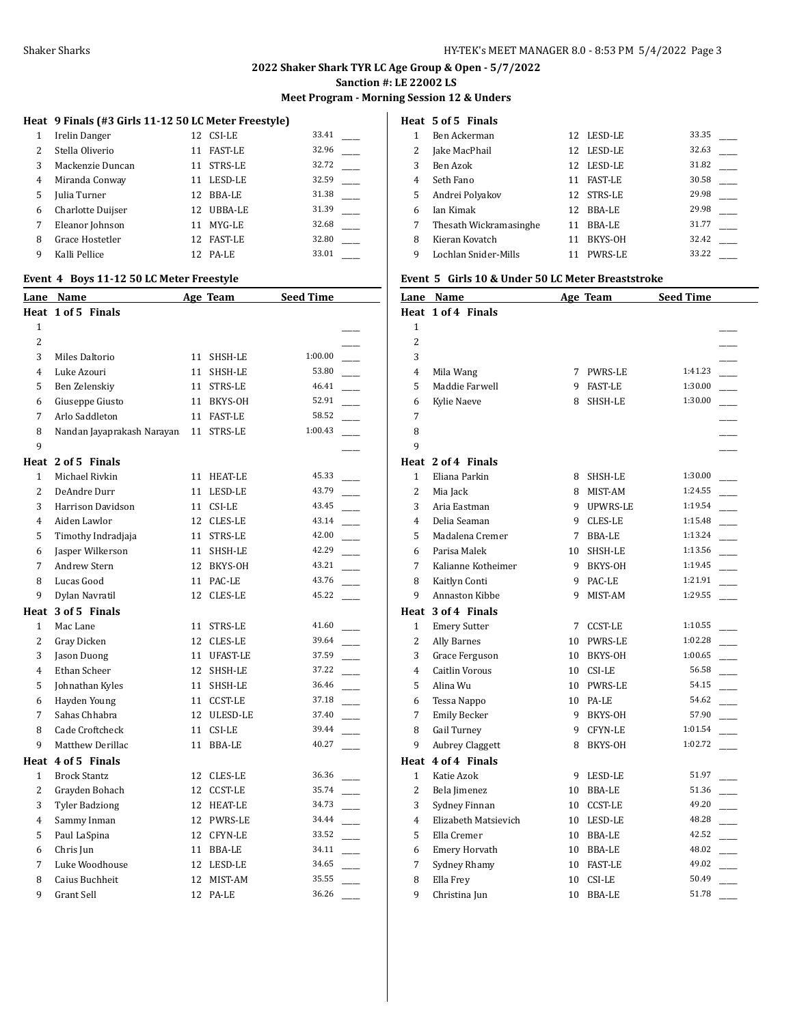# **Meet Program - Morning Session 12 & Unders**

# **Heat 9 Finals (#3 Girls 11-12 50 LC Meter Freestyle)**

| 1             | Irelin Danger     |     | 12 CSI-LE      | 33.41 |
|---------------|-------------------|-----|----------------|-------|
| $\mathcal{L}$ | Stella Oliverio   | 11  | <b>FAST-LE</b> | 32.96 |
| 3             | Mackenzie Duncan  | 11  | STRS-LE        | 32.72 |
| 4             | Miranda Conway    | 11  | LESD-LE        | 32.59 |
| 5             | Julia Turner      | 12. | BBA-LE         | 31.38 |
| 6             | Charlotte Duijser | 12. | UBBA-LE        | 31.39 |
| 7             | Eleanor Johnson   | 11  | MYG-LE         | 32.68 |
| 8             | Grace Hostetler   | 12. | <b>FAST-LE</b> | 32.80 |
| 9             | Kalli Pellice     |     | 12 PA-LE       | 33.01 |

#### **Event 4 Boys 11-12 50 LC Meter Freestyle**

| <u>Lane</u>    | <u>Name</u>                |                 | Age Team       | <b>Seed Time</b> |
|----------------|----------------------------|-----------------|----------------|------------------|
|                | Heat 1 of 5 Finals         |                 |                |                  |
| 1              |                            |                 |                |                  |
| $\overline{2}$ |                            |                 |                |                  |
| 3              | Miles Daltorio             |                 | 11 SHSH-LE     | 1:00.00          |
| 4              | Luke Azouri                | 11              | SHSH-LE        | 53.80            |
| 5              | Ben Zelenskiy              |                 | 11 STRS-LE     | 46.41            |
| 6              | Giuseppe Giusto            |                 | 11 BKYS-OH     | 52.91            |
| 7              | Arlo Saddleton             | 11              | FAST-LE        | 58.52            |
| 8              | Nandan Jayaprakash Narayan | 11              | STRS-LE        | 1:00.43          |
| 9              |                            |                 |                |                  |
|                | Heat 2 of 5 Finals         |                 |                |                  |
| 1              | Michael Rivkin             | 11              | <b>HEAT-LE</b> | 45.33            |
| $\overline{2}$ | DeAndre Durr               | 11              | LESD-LE        | 43.79            |
| 3              | Harrison Davidson          | 11              | CSI-LE         | 43.45            |
| 4              | Aiden Lawlor               |                 | 12 CLES-LE     | 43.14            |
| 5              | Timothy Indradjaja         |                 | 11 STRS-LE     | 42.00            |
| 6              | Jasper Wilkerson           | 11              | SHSH-LE        | 42.29            |
| 7              | <b>Andrew Stern</b>        | 12              | BKYS-OH        | 43.21            |
| 8              | Lucas Good                 | 11              | PAC-LE         | 43.76            |
| 9              | Dylan Navratil             | 12              | CLES-LE        | 45.22            |
|                | Heat 3 of 5 Finals         |                 |                |                  |
| 1              | Mac Lane                   | 11              | STRS-LE        | 41.60            |
| 2              | Gray Dicken                |                 | 12 CLES-LE     | 39.64            |
| 3              | Jason Duong                |                 | 11 UFAST-LE    | 37.59            |
| 4              | Ethan Scheer               |                 | 12 SHSH-LE     | 37.22            |
| 5              | Johnathan Kyles            |                 | 11 SHSH-LE     | 36.46            |
| 6              | Hayden Young               |                 | 11 CCST-LE     | 37.18            |
| 7              | Sahas Chhabra              |                 | 12 ULESD-LE    | 37.40            |
| 8              | Cade Croftcheck            | 11              | CSI-LE         | 39.44            |
| 9              | Matthew Derillac           | 11              | <b>BBA-LE</b>  | 40.27            |
|                | Heat 4 of 5 Finals         |                 |                |                  |
| $\mathbf{1}$   | <b>Brock Stantz</b>        |                 | 12 CLES-LE     | 36.36            |
| 2              | Grayden Bohach             |                 | 12 CCST-LE     | 35.74            |
| 3              | <b>Tyler Badziong</b>      |                 | 12 HEAT-LE     | 34.73            |
| 4              | Sammy Inman                |                 | 12 PWRS-LE     | 34.44            |
| 5              | Paul LaSpina               |                 | 12 CFYN-LE     | 33.52            |
| 6              | Chris Jun                  |                 | 11 BBA-LE      | 34.11            |
| 7              | Luke Woodhouse             |                 | 12 LESD-LE     | 34.65            |
| 8              | Caius Buchheit             | 12              | MIST-AM        | 35.55            |
| 9              | Grant Sell                 | 12 <sup>1</sup> | PA-LE          | 36.26            |
|                |                            |                 |                |                  |

# **Heat 5 of 5 Finals**

|   | Ben Ackerman           | 12  | LESD-LE        | 33.35 |
|---|------------------------|-----|----------------|-------|
| 2 | Jake MacPhail          | 12  | LESD-LE        | 32.63 |
| 3 | Ben Azok               | 12  | LESD-LE        | 31.82 |
| 4 | Seth Fano              | 11  | <b>FAST-LE</b> | 30.58 |
| 5 | Andrei Polyakov        | 12. | STRS-LE        | 29.98 |
| 6 | Ian Kimak              | 12. | BBA-LE         | 29.98 |
| 7 | Thesath Wickramasinghe | 11  | BBA-LE         | 31.77 |
| 8 | Kieran Kovatch         |     | BKYS-OH        | 32.42 |
| 9 | Lochlan Snider-Mills   |     | <b>PWRS-LE</b> | 33.22 |
|   |                        |     |                |       |

# **Event 5 Girls 10 & Under 50 LC Meter Breaststroke**

| <u>Lane</u>    | <u>Name</u>            |    | Age Team       | <b>Seed Time</b> |  |
|----------------|------------------------|----|----------------|------------------|--|
|                | Heat 1 of 4 Finals     |    |                |                  |  |
| $\mathbf{1}$   |                        |    |                |                  |  |
| $\overline{2}$ |                        |    |                |                  |  |
| 3              |                        |    |                |                  |  |
| 4              | Mila Wang              | 7  | PWRS-LE        | 1:41.23          |  |
| 5              | Maddie Farwell         | 9  | <b>FAST-LE</b> | 1:30.00          |  |
| 6              | Kylie Naeve            | 8. | SHSH-LE        | 1:30.00          |  |
| 7              |                        |    |                |                  |  |
| 8              |                        |    |                |                  |  |
| 9              |                        |    |                |                  |  |
|                | Heat 2 of 4 Finals     |    |                |                  |  |
| $\mathbf{1}$   | Eliana Parkin          | 8  | SHSH-LE        | 1:30.00          |  |
| $\overline{2}$ | Mia Jack               | 8. | MIST-AM        | 1:24.55          |  |
| 3              | Aria Eastman           | 9  | UPWRS-LE       | 1:19.54          |  |
| $\overline{4}$ | Delia Seaman           | 9. | CLES-LE        | 1:15.48          |  |
| 5              | Madalena Cremer        | 7  | BBA-LE         | 1:13.24          |  |
| 6              | Parisa Malek           | 10 | SHSH-LE        | 1:13.56          |  |
| 7              | Kalianne Kotheimer     | 9  | BKYS-OH        | 1:19.45          |  |
| 8              | Kaitlyn Conti          | 9  | PAC-LE         | 1:21.91          |  |
| 9              | Annaston Kibbe         | 9  | MIST-AM        | 1:29.55          |  |
|                | Heat 3 of 4 Finals     |    |                |                  |  |
| $\mathbf{1}$   | <b>Emery Sutter</b>    | 7  | <b>CCST-LE</b> | 1:10.55          |  |
| 2              | <b>Ally Barnes</b>     | 10 | PWRS-LE        | 1:02.28          |  |
| 3              | Grace Ferguson         | 10 | BKYS-OH        | 1:00.65          |  |
| 4              | <b>Caitlin Vorous</b>  | 10 | CSI-LE         | 56.58            |  |
| 5              | Alina Wu               |    | 10 PWRS-LE     | 54.15            |  |
| 6              | Tessa Nappo            | 10 | PA-LE          | 54.62            |  |
| 7              | <b>Emily Becker</b>    |    | 9 BKYS-OH      | 57.90            |  |
| 8              | <b>Gail Turney</b>     |    | 9 CFYN-LE      | 1:01.54          |  |
| 9              | <b>Aubrey Claggett</b> | 8  | BKYS-OH        | 1:02.72          |  |
| Heat           | 4 of 4 Finals          |    |                |                  |  |
| 1              | Katie Azok             | 9  | LESD-LE        | 51.97            |  |
| $\overline{2}$ | Bela Jimenez           | 10 | BBA-LE         | 51.36            |  |
| 3              | Sydney Finnan          | 10 | <b>CCST-LE</b> | 49.20            |  |
| $\overline{4}$ | Elizabeth Matsievich   | 10 | LESD-LE        | 48.28            |  |
| 5              | Ella Cremer            | 10 | BBA-LE         | 42.52            |  |
| 6              | <b>Emery Horvath</b>   | 10 | BBA-LE         | 48.02            |  |
| 7              | Sydney Rhamy           | 10 | <b>FAST-LE</b> | 49.02            |  |
| 8              | Ella Frey              | 10 | CSI-LE         | 50.49            |  |
| 9              | Christina Jun          | 10 | <b>BBA-LE</b>  | 51.78            |  |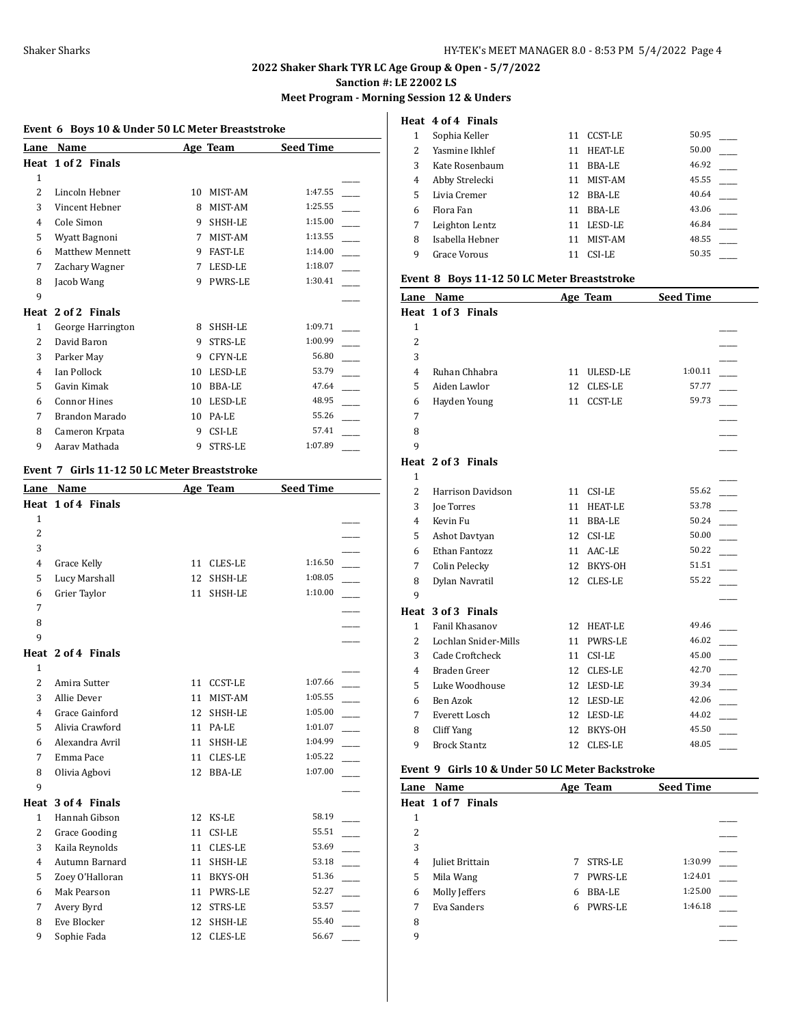# **2022 Shaker Shark TYR LC Age Group & Open - 5/7/2022**

**Sanction #: LE 22002 LS**

# **Meet Program - Morning Session 12 & Unders**

|                | Event 6 Boys 10 & Under 50 LC Meter Breaststroke |    |                |                  |  |  |  |
|----------------|--------------------------------------------------|----|----------------|------------------|--|--|--|
| Lane           | <b>Name</b>                                      |    | Age Team       | <b>Seed Time</b> |  |  |  |
|                | Heat 1 of 2 Finals                               |    |                |                  |  |  |  |
| $\mathbf{1}$   |                                                  |    |                |                  |  |  |  |
| $\overline{2}$ | Lincoln Hebner                                   | 10 | MIST-AM        | 1:47.55          |  |  |  |
| 3              | Vincent Hebner                                   | 8  | MIST-AM        | 1:25.55          |  |  |  |
| 4              | Cole Simon                                       | 9  | SHSH-LE        | 1:15.00          |  |  |  |
| 5              | Wyatt Bagnoni                                    | 7  | MIST-AM        | 1:13.55          |  |  |  |
| 6              | Matthew Mennett                                  | 9  | <b>FAST-LE</b> | 1:14.00          |  |  |  |
| 7              | Zachary Wagner                                   | 7  | LESD-LE        | 1:18.07          |  |  |  |
| 8              | Jacob Wang                                       | 9  | <b>PWRS-LE</b> | 1:30.41          |  |  |  |
| 9              |                                                  |    |                |                  |  |  |  |
| Heat           | 2 of 2 Finals                                    |    |                |                  |  |  |  |
| $\mathbf{1}$   | George Harrington                                | 8  | SHSH-LE        | 1:09.71          |  |  |  |
| 2              | David Baron                                      | 9  | <b>STRS-LE</b> | 1:00.99          |  |  |  |
| 3              | Parker May                                       | 9  | <b>CFYN-LE</b> | 56.80            |  |  |  |
| $\overline{4}$ | <b>Ian Pollock</b>                               | 10 | LESD-LE        | 53.79            |  |  |  |
| 5              | Gavin Kimak                                      | 10 | <b>BBA-LE</b>  | 47.64            |  |  |  |
| 6              | <b>Connor Hines</b>                              | 10 | LESD-LE        | 48.95            |  |  |  |
| 7              | Brandon Marado                                   | 10 | PA-LE          | 55.26            |  |  |  |
| 8              | Cameron Krpata                                   | 9  | CSI-LE         | 57.41            |  |  |  |
| 9              | Aaray Mathada                                    | 9  | <b>STRS-LE</b> | 1:07.89          |  |  |  |

# **Event 7 Girls 11-12 50 LC Meter Breaststroke**

| Lane           | Name                 |    | Age Team       | <b>Seed Time</b> |  |
|----------------|----------------------|----|----------------|------------------|--|
|                | Heat 1 of 4 Finals   |    |                |                  |  |
| $\mathbf{1}$   |                      |    |                |                  |  |
| $\overline{2}$ |                      |    |                |                  |  |
| 3              |                      |    |                |                  |  |
| $\overline{4}$ | Grace Kelly          | 11 | <b>CLES-LE</b> | 1:16.50          |  |
| 5              | Lucy Marshall        | 12 | SHSH-LE        | 1:08.05          |  |
| 6              | Grier Taylor         | 11 | SHSH-LE        | 1:10.00          |  |
| 7              |                      |    |                |                  |  |
| 8              |                      |    |                |                  |  |
| 9              |                      |    |                |                  |  |
|                | Heat 2 of 4 Finals   |    |                |                  |  |
| $\mathbf{1}$   |                      |    |                |                  |  |
| $\overline{2}$ | Amira Sutter         | 11 | <b>CCST-LE</b> | 1:07.66          |  |
| 3              | Allie Dever          | 11 | MIST-AM        | 1:05.55          |  |
| 4              | Grace Gainford       | 12 | SHSH-LE        | 1:05.00          |  |
| 5              | Alivia Crawford      | 11 | PA-LE          | 1:01.07          |  |
| 6              | Alexandra Avril      | 11 | SHSH-LE        | 1:04.99          |  |
| 7              | Emma Pace            | 11 | <b>CLES-LE</b> | 1:05.22          |  |
| 8              | Olivia Agbovi        | 12 | <b>BBA-LE</b>  | 1:07.00          |  |
| 9              |                      |    |                |                  |  |
|                | Heat 3 of 4 Finals   |    |                |                  |  |
| $\mathbf{1}$   | Hannah Gibson        | 12 | KS-LE          | 58.19            |  |
| $\overline{2}$ | <b>Grace Gooding</b> | 11 | CSI-LE         | 55.51            |  |
| 3              | Kaila Reynolds       | 11 | CLES-LE        | 53.69            |  |
| 4              | Autumn Barnard       | 11 | SHSH-LE        | 53.18            |  |
| 5              | Zoey O'Halloran      | 11 | BKYS-OH        | 51.36            |  |
| 6              | Mak Pearson          | 11 | <b>PWRS-LE</b> | 52.27            |  |
| 7              | Avery Byrd           | 12 | <b>STRS-LE</b> | 53.57            |  |
| 8              | Eve Blocker          | 12 | SHSH-LE        | 55.40            |  |
| 9              | Sophie Fada          | 12 | <b>CLES-LE</b> | 56.67            |  |
|                |                      |    |                |                  |  |

|   | Heat 4 of 4 Finals  |     |         |       |  |
|---|---------------------|-----|---------|-------|--|
| 1 | Sophia Keller       | 11  | CCST-LE | 50.95 |  |
| 2 | Yasmine Ikhlef      | 11  | HEAT-LE | 50.00 |  |
| 3 | Kate Rosenbaum      | 11  | BBA-LE  | 46.92 |  |
| 4 | Abby Strelecki      | 11  | MIST-AM | 45.55 |  |
| 5 | Livia Cremer        | 12. | BBA-LE  | 40.64 |  |
| 6 | Flora Fan           | 11  | BBA-LE  | 43.06 |  |
| 7 | Leighton Lentz      | 11  | LESD-LE | 46.84 |  |
| 8 | Isabella Hebner     | 11  | MIST-AM | 48.55 |  |
| 9 | <b>Grace Vorous</b> | 11  | CSI-LE  | 50.35 |  |
|   |                     |     |         |       |  |

#### **Event 8 Boys 11-12 50 LC Meter Breaststroke**

| Lane           | <b>Name</b>              |    | Age Team       | <b>Seed Time</b> |  |
|----------------|--------------------------|----|----------------|------------------|--|
|                | Heat 1 of 3 Finals       |    |                |                  |  |
| 1              |                          |    |                |                  |  |
| $\overline{c}$ |                          |    |                |                  |  |
| 3              |                          |    |                |                  |  |
| 4              | Ruhan Chhabra            | 11 | ULESD-LE       | 1:00.11          |  |
| 5              | Aiden Lawlor             | 12 | <b>CLES-LE</b> | 57.77            |  |
| 6              | Hayden Young             | 11 | <b>CCST-LE</b> | 59.73            |  |
| 7              |                          |    |                |                  |  |
| 8              |                          |    |                |                  |  |
| 9              |                          |    |                |                  |  |
|                | Heat 2 of 3 Finals       |    |                |                  |  |
| $\mathbf{1}$   |                          |    |                |                  |  |
| $\overline{c}$ | <b>Harrison Davidson</b> | 11 | CSI-LE         | 55.62            |  |
| 3              | <b>Joe Torres</b>        | 11 | <b>HEAT-LE</b> | 53.78            |  |
| 4              | Kevin Fu                 | 11 | <b>BBA-LE</b>  | 50.24            |  |
| 5              | Ashot Davtyan            | 12 | CSI-LE         | 50.00            |  |
| 6              | Ethan Fantozz            | 11 | AAC-LE         | 50.22            |  |
| 7              | Colin Pelecky            | 12 | BKYS-OH        | 51.51            |  |
| 8              | Dylan Navratil           | 12 | CLES-LE        | 55.22            |  |
| 9              |                          |    |                |                  |  |
|                | Heat 3 of 3 Finals       |    |                |                  |  |
| 1              | Fanil Khasanov           | 12 | <b>HEAT-LE</b> | 49.46            |  |
| $\overline{2}$ | Lochlan Snider-Mills     | 11 | <b>PWRS-LE</b> | 46.02            |  |
| 3              | Cade Croftcheck          | 11 | CSI-LE         | 45.00            |  |
| 4              | Braden Greer             | 12 | CLES-LE        | 42.70            |  |
| 5              | Luke Woodhouse           | 12 | LESD-LE        | 39.34            |  |
| 6              | Ben Azok                 | 12 | LESD-LE        | 42.06            |  |
| 7              | Everett Losch            | 12 | LESD-LE        | 44.02            |  |
| 8              | Cliff Yang               | 12 | BKYS-OH        | 45.50            |  |
| 9              | <b>Brock Stantz</b>      | 12 | <b>CLES-LE</b> | 48.05            |  |
|                |                          |    |                |                  |  |

### **Event 9 Girls 10 & Under 50 LC Meter Backstroke**

| Lane | Name               |   | Age Team       | <b>Seed Time</b> |  |
|------|--------------------|---|----------------|------------------|--|
|      | Heat 1 of 7 Finals |   |                |                  |  |
| 1    |                    |   |                |                  |  |
| 2    |                    |   |                |                  |  |
| 3    |                    |   |                |                  |  |
| 4    | Juliet Brittain    | 7 | STRS-LE        | 1:30.99          |  |
| 5    | Mila Wang          |   | <b>PWRS-LE</b> | 1:24.01          |  |
| 6    | Molly Jeffers      | 6 | <b>BBA-LE</b>  | 1:25.00          |  |
| 7    | Eva Sanders        | 6 | <b>PWRS-LE</b> | 1:46.18          |  |
| 8    |                    |   |                |                  |  |
| 9    |                    |   |                |                  |  |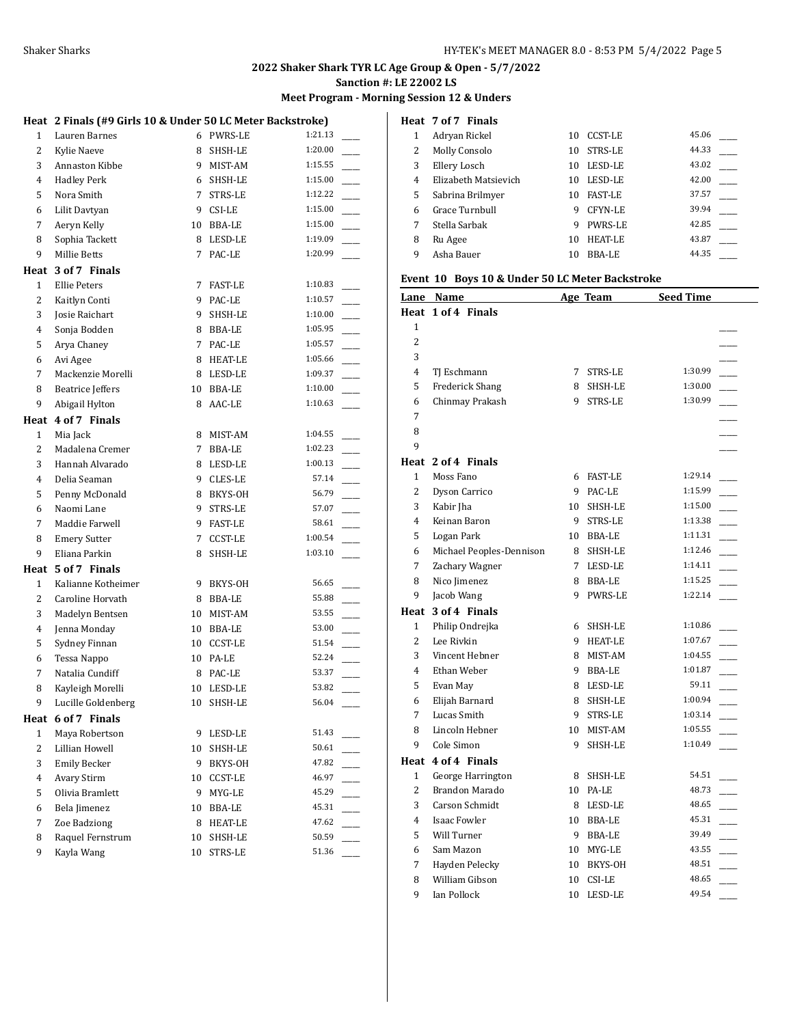#### **Meet Program - Morning Session 12 & Unders**

#### **Heat 2 Finals (#9 Girls 10 & Under 50 LC Meter Backstroke)**

| ncac           | $21 \text{ mas}$ ( $\pi$ ) and $310 \text{ K}$ onder 50 EG Meter Backstrone) |    |                |             |
|----------------|------------------------------------------------------------------------------|----|----------------|-------------|
| $\mathbf{1}$   | Lauren Barnes                                                                |    | 6 PWRS-LE      | 1:21.13     |
| 2              | Kylie Naeve                                                                  | 8  | SHSH-LE        | 1:20.00     |
| 3              | Annaston Kibbe                                                               | 9. | MIST-AM        | 1:15.55     |
| 4              | <b>Hadley Perk</b>                                                           | 6  | SHSH-LE        | 1:15.00     |
| 5              | Nora Smith                                                                   | 7  | STRS-LE        | 1:12.22     |
| 6              | Lilit Davtyan                                                                |    | 9 CSI-LE       | 1:15.00     |
| 7              | Aeryn Kelly                                                                  |    | 10 BBA-LE      | 1:15.00     |
| 8              | Sophia Tackett                                                               |    | 8 LESD-LE      | 1:19.09     |
| 9              | <b>Millie Betts</b>                                                          |    | 7 PAC-LE       | 1:20.99     |
|                | Heat 3 of 7 Finals                                                           |    |                |             |
| $\mathbf{1}$   | <b>Ellie Peters</b>                                                          |    | 7 FAST-LE      | 1:10.83     |
| 2              | Kaitlyn Conti                                                                |    | 9 PAC-LE       | 1:10.57     |
| 3              | Josie Raichart                                                               | 9. | SHSH-LE        | 1:10.00     |
| 4              | Sonja Bodden                                                                 | 8  | BBA-LE         | 1:05.95     |
| 5              | Arya Chaney                                                                  | 7  | PAC-LE         | 1:05.57     |
| 6              | Avi Agee                                                                     |    | 8 HEAT-LE      | 1:05.66     |
| 7              | Mackenzie Morelli                                                            |    | 8 LESD-LE      | 1:09.37     |
| 8              | <b>Beatrice Jeffers</b>                                                      |    | 10 BBA-LE      | 1:10.00     |
| 9              | Abigail Hylton                                                               | 8  | AAC-LE         | 1:10.63     |
|                |                                                                              |    |                |             |
|                | Heat 4 of 7 Finals                                                           |    |                |             |
| $\mathbf{1}$   | Mia Jack                                                                     | 8  | MIST-AM        | 1:04.55     |
| 2              | Madalena Cremer                                                              | 7  | <b>BBA-LE</b>  | 1:02.23     |
| 3              | Hannah Alvarado                                                              |    | 8 LESD-LE      | 1:00.13     |
| $\overline{4}$ | Delia Seaman                                                                 |    | 9 CLES-LE      | 57.14       |
| 5              | Penny McDonald                                                               |    | 8 BKYS-OH      | 56.79       |
| 6              | Naomi Lane                                                                   | 9  | STRS-LE        | 57.07       |
| 7              | Maddie Farwell                                                               | 9  | <b>FAST-LE</b> | 58.61       |
| 8              | <b>Emery Sutter</b>                                                          | 7  | CCST-LE        | 1:00.54     |
| 9              | Eliana Parkin                                                                | 8  | SHSH-LE        | 1:03.10     |
|                | Heat 5 of 7 Finals                                                           |    |                |             |
| $\mathbf{1}$   | Kalianne Kotheimer                                                           |    | 9 BKYS-OH      | 56.65       |
| 2              | Caroline Horvath                                                             | 8  | BBA-LE         | 55.88       |
| 3              | Madelyn Bentsen                                                              | 10 | MIST-AM        | 53.55       |
| 4              | Jenna Monday                                                                 | 10 | BBA-LE         | 53.00       |
| 5              | Sydney Finnan                                                                |    | 10 CCST-LE     | 51.54       |
| 6              | Tessa Nappo                                                                  |    | 10 PA-LE       | 52.24       |
| 7              | Natalia Cundiff                                                              |    | 8 PAC-LE       | 53.37       |
| 8              | Kayleigh Morelli                                                             |    | 10 LESD-LE     | 53.82       |
| 9              | Lucille Goldenberg                                                           |    | 10 SHSH-LE     | $56.04$ $-$ |
|                | Heat 6 of 7 Finals                                                           |    |                |             |
| $\mathbf{1}$   | Maya Robertson                                                               | 9  | LESD-LE        | 51.43       |
| 2              | Lillian Howell                                                               | 10 | SHSH-LE        | 50.61       |
| 3              | <b>Emily Becker</b>                                                          | 9  | BKYS-OH        | 47.82       |
| 4              | <b>Avary Stirm</b>                                                           | 10 | <b>CCST-LE</b> | 46.97       |
| 5              | Olivia Bramlett                                                              | 9  | MYG-LE         | 45.29       |
| 6              | Bela Jimenez                                                                 | 10 | BBA-LE         | 45.31       |
| 7              | Zoe Badziong                                                                 | 8  | <b>HEAT-LE</b> | 47.62       |
| 8              | Raquel Fernstrum                                                             | 10 | SHSH-LE        | 50.59       |
| 9              | Kayla Wang                                                                   | 10 | STRS-LE        | 51.36       |
|                |                                                                              |    |                |             |

|   | Heat 7 of 7 Finals   |    |                |       |
|---|----------------------|----|----------------|-------|
|   | Adryan Rickel        | 10 | CCST-LE        | 45.06 |
| 2 | Molly Consolo        | 10 | STRS-LE        | 44.33 |
| 3 | Ellery Losch         | 10 | LESD-LE        | 43.02 |
| 4 | Elizabeth Matsievich | 10 | LESD-LE        | 42.00 |
| 5 | Sabrina Brilmyer     | 10 | <b>FAST-LE</b> | 37.57 |
| 6 | Grace Turnbull       | 9  | CFYN-LE        | 39.94 |
| 7 | Stella Sarbak        | 9  | <b>PWRS-LE</b> | 42.85 |
| 8 | Ru Agee              | 10 | <b>HEAT-LE</b> | 43.87 |
| 9 | Asha Bauer           | 10 | BBA-LE         | 44.35 |

# **Event 10 Boys 10 & Under 50 LC Meter Backstroke**

|                | <u>Lane Name</u>         |    | Age Team   | <b>Seed Time</b> |  |
|----------------|--------------------------|----|------------|------------------|--|
|                | Heat 1 of 4 Finals       |    |            |                  |  |
| $\mathbf{1}$   |                          |    |            |                  |  |
| $\overline{2}$ |                          |    |            |                  |  |
| 3              |                          |    |            |                  |  |
| 4              | TJ Eschmann              |    | 7 STRS-LE  | 1:30.99          |  |
| 5              | <b>Frederick Shang</b>   |    | 8 SHSH-LE  | 1:30.00          |  |
| 6              | Chinmay Prakash          |    | 9 STRS-LE  | 1:30.99          |  |
| 7              |                          |    |            |                  |  |
| 8              |                          |    |            |                  |  |
| 9              |                          |    |            |                  |  |
| Heat           | 2 of 4 Finals            |    |            |                  |  |
| $\mathbf{1}$   | Moss Fano                |    | 6 FAST-LE  | 1:29.14          |  |
| 2              | Dyson Carrico            |    | 9 PAC-LE   | 1:15.99          |  |
| 3              | Kabir Jha                | 10 | SHSH-LE    | 1:15.00          |  |
| 4              | Keinan Baron             |    | 9 STRS-LE  | 1:13.38          |  |
| 5              | Logan Park               |    | 10 BBA-LE  | 1:11.31          |  |
| 6              | Michael Peoples-Dennison |    | 8 SHSH-LE  | 1:12.46          |  |
| 7              | Zachary Wagner           |    | 7 LESD-LE  | 1:14.11          |  |
| 8              | Nico Jimenez             |    | 8 BBA-LE   | 1:15.25          |  |
| 9              | Jacob Wang               | 9  | PWRS-LE    | 1:22.14          |  |
| Heat           | 3 of 4 Finals            |    |            |                  |  |
| 1              | Philip Ondrejka          | 6  | SHSH-LE    | 1:10.86          |  |
| 2              | Lee Rivkin               |    | 9 HEAT-LE  | 1:07.67          |  |
| 3              | Vincent Hebner           |    | 8 MIST-AM  | 1:04.55          |  |
| 4              | Ethan Weber              |    | 9 BBA-LE   | 1:01.87          |  |
| 5              | Evan May                 |    | 8 LESD-LE  | 59.11            |  |
| 6              | Elijah Barnard           | 8. | SHSH-LE    | 1:00.94          |  |
| 7              | Lucas Smith              |    | 9 STRS-LE  | 1:03.14          |  |
| 8              | Lincoln Hebner           |    | 10 MIST-AM | 1:05.55          |  |
| 9              | Cole Simon               | 9  | SHSH-LE    | 1:10.49          |  |
|                | Heat 4 of 4 Finals       |    |            |                  |  |
| $\mathbf{1}$   | George Harrington        | 8  | SHSH-LE    | 54.51            |  |
| $\overline{2}$ | Brandon Marado           |    | 10 PA-LE   | 48.73            |  |
| 3              | Carson Schmidt           |    | 8 LESD-LE  | 48.65            |  |
| 4              | <b>Isaac Fowler</b>      |    | 10 BBA-LE  | 45.31            |  |
| 5              | Will Turner              |    | 9 BBA-LE   | 39.49            |  |
| 6              | Sam Mazon                |    | 10 MYG-LE  | 43.55            |  |
| 7              | Hayden Pelecky           |    | 10 BKYS-OH | 48.51            |  |
| 8              | William Gibson           | 10 | CSI-LE     | 48.65            |  |
| 9              | Ian Pollock              | 10 | LESD-LE    | 49.54            |  |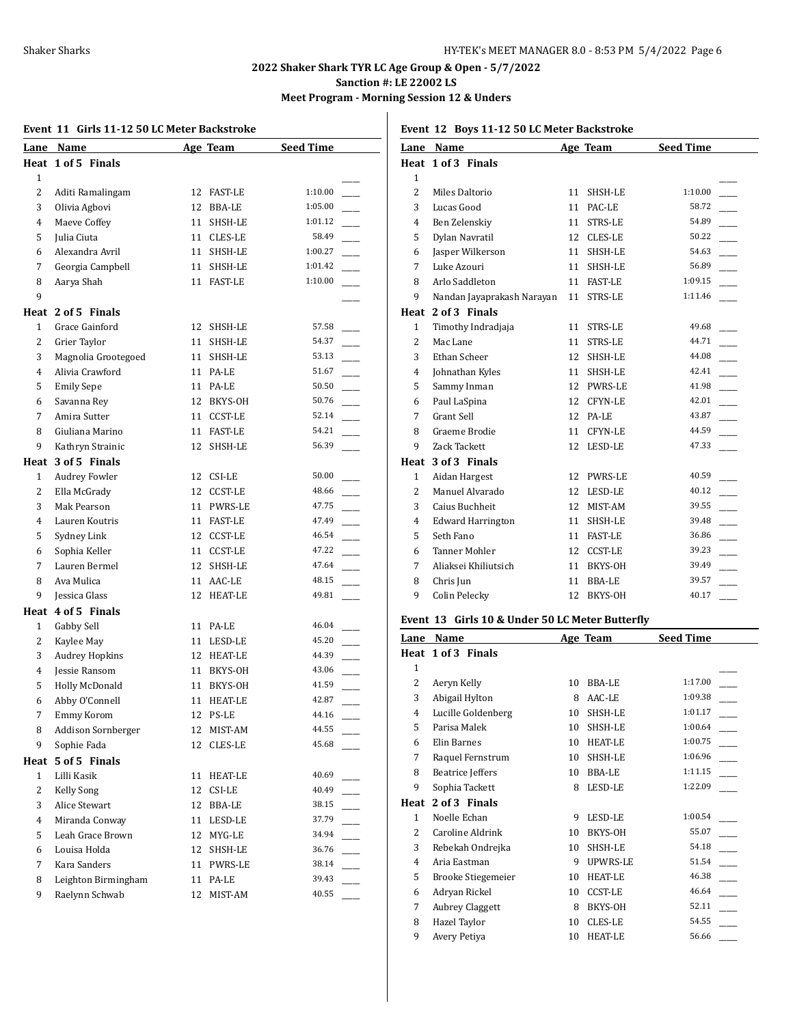**Meet Program - Morning Session 12 & Unders**

|                | Event 11 Girls 11-12 50 LC Meter Backstroke |    |                |                  |
|----------------|---------------------------------------------|----|----------------|------------------|
| Lane           | Name                                        |    | Age Team       | <b>Seed Time</b> |
|                | Heat 1 of 5 Finals                          |    |                |                  |
| $\mathbf{1}$   |                                             |    |                |                  |
| 2              | Aditi Ramalingam                            | 12 | FAST-LE        | 1:10.00          |
| 3              | Olivia Agbovi                               | 12 | <b>BBA-LE</b>  | 1:05.00          |
| 4              | Maeve Coffey                                | 11 | SHSH-LE        | 1:01.12          |
| 5              | Julia Ciuta                                 | 11 | CLES-LE        | 58.49            |
| 6              | Alexandra Avril                             | 11 | SHSH-LE        | 1:00.27          |
| 7              | Georgia Campbell                            | 11 | SHSH-LE        | 1:01.42          |
| 8              | Aarya Shah                                  | 11 | <b>FAST-LE</b> | 1:10.00          |
| 9              |                                             |    |                |                  |
|                | Heat 2 of 5 Finals                          |    |                |                  |
| $\mathbf{1}$   | Grace Gainford                              |    | 12 SHSH-LE     | 57.58            |
| 2              | Grier Taylor                                | 11 | SHSH-LE        | 54.37            |
| 3              | Magnolia Grootegoed                         | 11 | SHSH-LE        | 53.13            |
| 4              | Alivia Crawford                             |    | 11 PA-LE       | 51.67            |
| 5              | <b>Emily Sepe</b>                           |    | 11 PA-LE       | 50.50            |
| 6              | Savanna Rey                                 | 12 | BKYS-OH        | 50.76            |
| 7              | Amira Sutter                                | 11 | <b>CCST-LE</b> | 52.14            |
| 8              | Giuliana Marino                             | 11 | <b>FAST-LE</b> | 54.21            |
| 9              | Kathryn Strainic                            | 12 | SHSH-LE        | 56.39            |
| Heat           | 3 of 5 Finals                               |    |                |                  |
| 1              | <b>Audrey Fowler</b>                        | 12 | CSI-LE         | 50.00            |
| 2              | Ella McGrady                                | 12 | <b>CCST-LE</b> | 48.66            |
| 3              | Mak Pearson                                 | 11 | PWRS-LE        | 47.75            |
| 4              | Lauren Koutris                              | 11 | <b>FAST-LE</b> | 47.49            |
| 5              | Sydney Link                                 | 12 | CCST-LE        | 46.54            |
| 6              | Sophia Keller                               | 11 | <b>CCST-LE</b> | 47.22            |
| 7              | Lauren Bermel                               | 12 | SHSH-LE        | 47.64            |
| 8              | Ava Mulica                                  | 11 | AAC-LE         | 48.15            |
| 9              | Jessica Glass                               | 12 | <b>HEAT-LE</b> | 49.81            |
|                | Heat 4 of 5 Finals                          |    |                |                  |
| $\mathbf{1}$   | Gabby Sell                                  | 11 | PA-LE          | 46.04            |
| 2              | Kaylee May                                  | 11 | LESD-LE        | 45.20            |
| 3              | <b>Audrey Hopkins</b>                       | 12 | HEAT-LE        | 44.39            |
| 4              | <b>Jessie Ransom</b>                        | 11 | BKYS-OH        | 43.06            |
| 5              | Holly McDonald                              | 11 | BKYS-OH        | 41.59            |
| 6              | Abby O'Connell                              | 11 | HEAT-LE        | 42.87            |
| 7              | Emmy Korom                                  |    | 12 PS-LE       | 44.16            |
| 8              | <b>Addison Sornberger</b>                   | 12 | MIST-AM        | 44.55            |
| 9              | Sophie Fada                                 | 12 | CLES-LE        | 45.68            |
|                | Heat 5 of 5 Finals                          |    |                |                  |
| $\mathbf{1}$   | Lilli Kasik                                 | 11 | <b>HEAT-LE</b> | 40.69            |
| $\overline{c}$ |                                             | 12 | CSI-LE         | 40.49            |
| 3              | Kelly Song<br>Alice Stewart                 | 12 | <b>BBA-LE</b>  | 38.15            |
| 4              | Miranda Conway                              | 11 | LESD-LE        | 37.79            |
|                |                                             |    |                | 34.94            |
| 5              | Leah Grace Brown                            |    | 12 MYG-LE      | 36.76            |
| 6              | Louisa Holda                                | 12 | SHSH-LE        | $\sim$           |
| 7              | Kara Sanders                                |    | 11 PWRS-LE     | 38.14            |
| 8              | Leighton Birmingham                         | 11 | PA-LE          | 39.43<br>40.55   |
| 9              | Raelynn Schwab                              | 12 | MIST-AM        |                  |
|                |                                             |    |                |                  |

#### **Event 12 Boys 11-12 50 LC Meter Backstroke**

| Lane           | Name                       |    | Age Team       | <b>Seed Time</b> |  |
|----------------|----------------------------|----|----------------|------------------|--|
|                | Heat 1 of 3 Finals         |    |                |                  |  |
| $\mathbf{1}$   |                            |    |                |                  |  |
| $\overline{c}$ | Miles Daltorio             | 11 | SHSH-LE        | 1:10.00          |  |
| 3              | Lucas Good                 | 11 | PAC-LE         | 58.72            |  |
| 4              | Ben Zelenskiy              | 11 | STRS-LE        | 54.89            |  |
| 5              | Dylan Navratil             | 12 | CLES-LE        | 50.22            |  |
| 6              | Jasper Wilkerson           | 11 | SHSH-LE        | 54.63            |  |
| 7              | Luke Azouri                | 11 | SHSH-LE        | 56.89            |  |
| 8              | Arlo Saddleton             | 11 | <b>FAST-LE</b> | 1:09.15          |  |
| 9              | Nandan Jayaprakash Narayan | 11 | STRS-LE        | 1:11.46          |  |
|                | Heat 2 of 3 Finals         |    |                |                  |  |
| $\mathbf{1}$   | Timothy Indradjaja         | 11 | STRS-LE        | 49.68            |  |
| $\overline{c}$ | Mac Lane                   | 11 | STRS-LE        | 44.71            |  |
| 3              | Ethan Scheer               | 12 | SHSH-LE        | 44.08            |  |
| $\overline{4}$ | Johnathan Kyles            | 11 | SHSH-LE        | 42.41            |  |
| 5              | Sammy Inman                | 12 | <b>PWRS-LE</b> | 41.98            |  |
| 6              | Paul LaSpina               | 12 | CFYN-LE        | 42.01            |  |
| 7              | Grant Sell                 | 12 | PA-LE          | 43.87            |  |
| 8              | Graeme Brodie              | 11 | CFYN-LE        | 44.59            |  |
| 9              | Zack Tackett               | 12 | LESD-LE        | 47.33            |  |
|                | Heat 3 of 3 Finals         |    |                |                  |  |
| 1              | Aidan Hargest              | 12 | <b>PWRS-LE</b> | 40.59            |  |
| 2              | Manuel Alvarado            | 12 | LESD-LE        | 40.12            |  |
| 3              | Caius Buchheit             | 12 | MIST-AM        | 39.55            |  |
| $\overline{4}$ | <b>Edward Harrington</b>   | 11 | SHSH-LE        | 39.48            |  |
| 5              | Seth Fano                  | 11 | <b>FAST-LE</b> | 36.86            |  |
| 6              | <b>Tanner Mohler</b>       | 12 | CCST-LE        | 39.23            |  |
| 7              | Aliaksei Khiliutsich       | 11 | BKYS-OH        | 39.49            |  |
| 8              | Chris Jun                  | 11 | <b>BBA-LE</b>  | 39.57            |  |
| 9              | Colin Pelecky              | 12 | BKYS-OH        | 40.17            |  |
|                |                            |    |                |                  |  |

# **Event 13 Girls 10 & Under 50 LC Meter Butterfly**

| Name                      |    |                | <b>Seed Time</b> |  |
|---------------------------|----|----------------|------------------|--|
| Heat 1 of 3 Finals        |    |                |                  |  |
|                           |    |                |                  |  |
| Aeryn Kelly               | 10 | BBA-LE         | 1:17.00          |  |
| Abigail Hylton            | 8  | AAC-LE         | 1:09.38          |  |
| Lucille Goldenberg        | 10 | SHSH-LE        | 1:01.17          |  |
| Parisa Malek              | 10 | SHSH-LE        | 1:00.64          |  |
| Elin Barnes               | 10 | <b>HEAT-LE</b> | 1:00.75          |  |
| Raquel Fernstrum          | 10 | SHSH-LE        | 1:06.96          |  |
| <b>Beatrice Jeffers</b>   | 10 | BBA-LE         | 1:11.15          |  |
| Sophia Tackett            | 8  | LESD-LE        | 1:22.09          |  |
| 2 of 3 Finals             |    |                |                  |  |
| Noelle Echan              | 9  | LESD-LE        | 1:00.54          |  |
| Caroline Aldrink          | 10 | BKYS-OH        | 55.07            |  |
| Rebekah Ondrejka          | 10 | SHSH-LE        | 54.18            |  |
| Aria Eastman              | 9  | UPWRS-LE       | 51.54            |  |
| <b>Brooke Stiegemeier</b> | 10 | <b>HEAT-LE</b> | 46.38            |  |
| Adryan Rickel             | 10 | <b>CCST-LE</b> | 46.64            |  |
| <b>Aubrey Claggett</b>    | 8  | BKYS-OH        | 52.11            |  |
| Hazel Taylor              | 10 | CLES-LE        | 54.55            |  |
| Avery Petiya              | 10 | <b>HEAT-LE</b> | 56.66            |  |
|                           |    |                | Age Team         |  |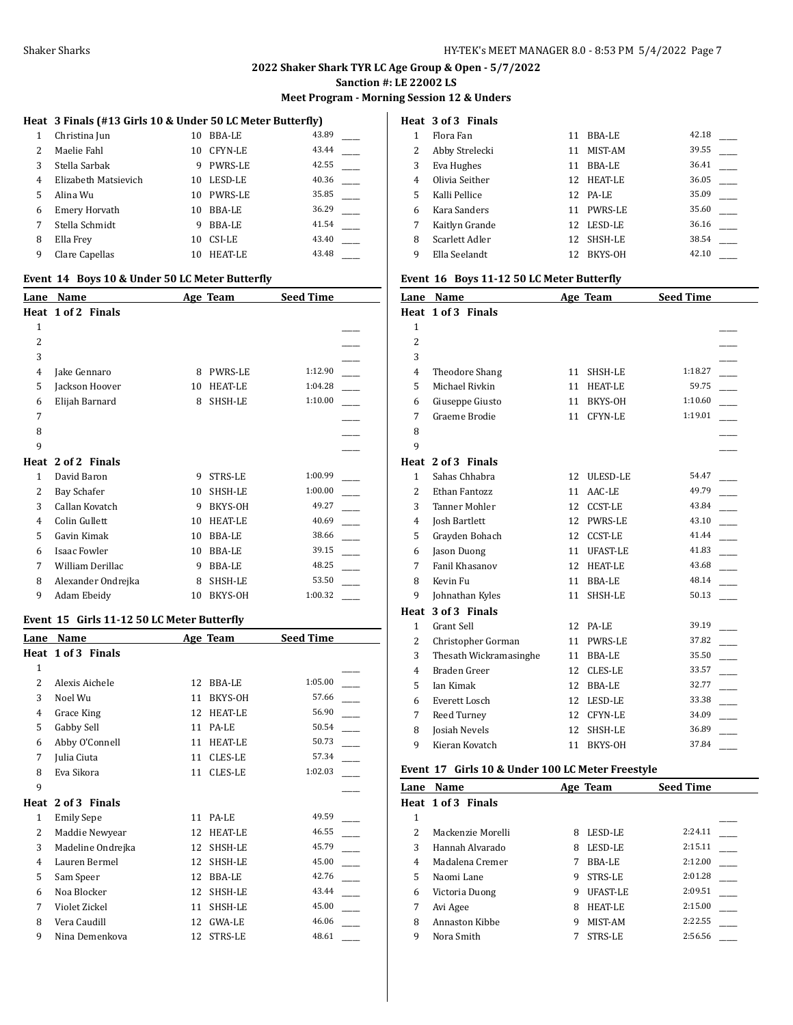# **2022 Shaker Shark TYR LC Age Group & Open - 5/7/2022**

**Sanction #: LE 22002 LS**

#### **Meet Program - Morning Session 12 & Unders**

#### **Heat 3 Finals (#13 Girls 10 & Under 50 LC Meter Butterfly)**

| 1 | Christina Jun        | 10 | BBA-LE         | 43.89 |
|---|----------------------|----|----------------|-------|
| 2 | Maelie Fahl          | 10 | <b>CFYN-LE</b> | 43.44 |
| 3 | Stella Sarbak        | 9  | <b>PWRS-LE</b> | 42.55 |
| 4 | Elizabeth Matsievich | 10 | LESD-LE        | 40.36 |
| 5 | Alina Wu             | 10 | <b>PWRS-LE</b> | 35.85 |
| 6 | Emery Horvath        | 10 | <b>BBA-LE</b>  | 36.29 |
| 7 | Stella Schmidt       | 9  | <b>BBA-LE</b>  | 41.54 |
| 8 | Ella Frey            | 10 | CSI-LE         | 43.40 |
| 9 | Clare Capellas       | 10 | HEAT-LE        | 43.48 |

#### **Event 14 Boys 10 & Under 50 LC Meter Butterfly**

| Lane         | Name                |    | Age Team       | <b>Seed Time</b> |  |
|--------------|---------------------|----|----------------|------------------|--|
|              | Heat 1 of 2 Finals  |    |                |                  |  |
| $\mathbf{1}$ |                     |    |                |                  |  |
| 2            |                     |    |                |                  |  |
| 3            |                     |    |                |                  |  |
| 4            | Jake Gennaro        | 8  | <b>PWRS-LE</b> | 1:12.90          |  |
| 5            | Jackson Hoover      | 10 | <b>HEAT-LE</b> | 1:04.28          |  |
| 6            | Elijah Barnard      | 8  | SHSH-LE        | 1:10.00          |  |
| 7            |                     |    |                |                  |  |
| 8            |                     |    |                |                  |  |
| 9            |                     |    |                |                  |  |
|              | Heat 2 of 2 Finals  |    |                |                  |  |
| 1            | David Baron         | 9  | STRS-LE        | 1:00.99          |  |
| 2            | Bay Schafer         | 10 | SHSH-LE        | 1:00.00          |  |
| 3            | Callan Kovatch      | 9  | BKYS-OH        | 49.27            |  |
| 4            | Colin Gullett       | 10 | <b>HEAT-LE</b> | 40.69            |  |
| 5            | Gavin Kimak         | 10 | <b>BBA-LE</b>  | 38.66            |  |
| 6            | <b>Isaac Fowler</b> | 10 | <b>BBA-LE</b>  | 39.15            |  |
| 7            | William Derillac    | 9  | <b>BBA-LE</b>  | 48.25            |  |
| 8            | Alexander Ondrejka  | 8  | SHSH-LE        | 53.50            |  |
| 9            | Adam Ebeidy         | 10 | BKYS-OH        | 1:00.32          |  |

#### **Event 15 Girls 11-12 50 LC Meter Butterfly**

| Lane                     | Name               |    | Age Team       | <b>Seed Time</b> |  |
|--------------------------|--------------------|----|----------------|------------------|--|
|                          | Heat 1 of 3 Finals |    |                |                  |  |
| $\mathbf{1}$             |                    |    |                |                  |  |
| $\overline{\mathcal{L}}$ | Alexis Aichele     | 12 | BBA-LE         | 1:05.00          |  |
| 3                        | Noel Wu            | 11 | BKYS-OH        | 57.66            |  |
| 4                        | Grace King         | 12 | <b>HEAT-LE</b> | 56.90            |  |
| 5                        | Gabby Sell         | 11 | PA-LE          | 50.54            |  |
| 6                        | Abby O'Connell     | 11 | <b>HEAT-LE</b> | 50.73            |  |
| 7                        | Julia Ciuta        | 11 | <b>CLES-LE</b> | 57.34            |  |
| 8                        | Eva Sikora         | 11 | <b>CLES-LE</b> | 1:02.03          |  |
| 9                        |                    |    |                |                  |  |
| Heat                     | 2 of 3 Finals      |    |                |                  |  |
| 1                        | <b>Emily Sepe</b>  | 11 | PA-LE          | 49.59            |  |
| 2                        | Maddie Newyear     | 12 | <b>HEAT-LE</b> | 46.55            |  |
| 3                        | Madeline Ondrejka  | 12 | SHSH-LE        | 45.79            |  |
| 4                        | Lauren Bermel      | 12 | SHSH-LE        | 45.00            |  |
| 5                        | Sam Speer          | 12 | <b>BBA-LE</b>  | 42.76            |  |
| 6                        | Noa Blocker        | 12 | SHSH-LE        | 43.44            |  |
| 7                        | Violet Zickel      | 11 | SHSH-LE        | 45.00            |  |
| 8                        | Vera Caudill       | 12 | <b>GWA-LE</b>  | 46.06            |  |
| 9                        | Nina Demenkova     | 12 | STRS-LE        | 48.61            |  |

# **Heat 3 of 3 Finals**

|   | Flora Fan      | 11  | BBA-LE         | 42.18 |  |
|---|----------------|-----|----------------|-------|--|
| 2 | Abby Strelecki | 11  | MIST-AM        | 39.55 |  |
| 3 | Eva Hughes     | 11  | BBA-LE         | 36.41 |  |
| 4 | Olivia Seither | 12. | <b>HEAT-LE</b> | 36.05 |  |
| 5 | Kalli Pellice  |     | 12 PA-LE       | 35.09 |  |
| 6 | Kara Sanders   | 11  | <b>PWRS-LE</b> | 35.60 |  |
|   | Kaitlyn Grande | 12  | LESD-LE        | 36.16 |  |
| 8 | Scarlett Adler | 12  | SHSH-LE        | 38.54 |  |
| 9 | Ella Seelandt  | 12  | BKYS-OH        | 42.10 |  |
|   |                |     |                |       |  |

#### **Event 16 Boys 11-12 50 LC Meter Butterfly**

| Lane           | Name                   |    | Age Team        | <b>Seed Time</b> |  |
|----------------|------------------------|----|-----------------|------------------|--|
|                | Heat 1 of 3 Finals     |    |                 |                  |  |
| $\mathbf{1}$   |                        |    |                 |                  |  |
| $\overline{c}$ |                        |    |                 |                  |  |
| 3              |                        |    |                 |                  |  |
| 4              | <b>Theodore Shang</b>  | 11 | SHSH-LE         | 1:18.27          |  |
| 5              | Michael Rivkin         | 11 | <b>HEAT-LE</b>  | 59.75            |  |
| 6              | Giuseppe Giusto        | 11 | BKYS-OH         | 1:10.60          |  |
| 7              | Graeme Brodie          | 11 | CFYN-LE         | 1:19.01          |  |
| 8              |                        |    |                 |                  |  |
| 9              |                        |    |                 |                  |  |
|                | Heat 2 of 3 Finals     |    |                 |                  |  |
| 1              | Sahas Chhabra          | 12 | ULESD-LE        | 54.47            |  |
| $\overline{2}$ | Ethan Fantozz          | 11 | AAC-LE          | 49.79            |  |
| 3              | <b>Tanner Mohler</b>   | 12 | <b>CCST-LE</b>  | 43.84            |  |
| 4              | Josh Bartlett          | 12 | <b>PWRS-LE</b>  | 43.10            |  |
| 5              | Grayden Bohach         | 12 | <b>CCST-LE</b>  | 41.44            |  |
| 6              | Jason Duong            | 11 | <b>UFAST-LE</b> | 41.83            |  |
| 7              | Fanil Khasanov         | 12 | <b>HEAT-LE</b>  | 43.68            |  |
| 8              | Kevin Fu               | 11 | <b>BBA-LE</b>   | 48.14            |  |
| 9              | Johnathan Kyles        | 11 | SHSH-LE         | 50.13            |  |
| Heat           | 3 of 3 Finals          |    |                 |                  |  |
| 1              | <b>Grant Sell</b>      | 12 | PA-LE           | 39.19            |  |
| 2              | Christopher Gorman     | 11 | <b>PWRS-LE</b>  | 37.82            |  |
| 3              | Thesath Wickramasinghe | 11 | <b>BBA-LE</b>   | 35.50            |  |
| 4              | Braden Greer           | 12 | CLES-LE         | 33.57            |  |
| 5              | <b>Ian Kimak</b>       | 12 | <b>BBA-LE</b>   | 32.77            |  |
| 6              | Everett Losch          | 12 | LESD-LE         | 33.38            |  |
| 7              | Reed Turney            | 12 | CFYN-LE         | 34.09            |  |
| 8              | <b>Josiah Nevels</b>   | 12 | SHSH-LE         | 36.89            |  |
| 9              | Kieran Kovatch         | 11 | BKYS-OH         | 37.84            |  |
|                |                        |    |                 |                  |  |

#### **Event 17 Girls 10 & Under 100 LC Meter Freestyle**

| Lane          | Name               |   | Age Team       | <b>Seed Time</b> |  |
|---------------|--------------------|---|----------------|------------------|--|
|               | Heat 1 of 3 Finals |   |                |                  |  |
| 1             |                    |   |                |                  |  |
| $\mathcal{P}$ | Mackenzie Morelli  | 8 | LESD-LE        | 2:24.11          |  |
| 3             | Hannah Alvarado    | 8 | LESD-LE        | 2:15.11          |  |
| 4             | Madalena Cremer    |   | BBA-LE         | 2:12.00          |  |
| 5             | Naomi Lane         | 9 | STRS-LE        | 2:01.28          |  |
| 6             | Victoria Duong     | 9 | UFAST-LE       | 2:09.51          |  |
| 7             | Avi Agee           | 8 | <b>HEAT-LE</b> | 2:15.00          |  |
| 8             | Annaston Kibbe     | 9 | MIST-AM        | 2:22.55          |  |
| 9             | Nora Smith         |   | STRS-LE        | 2:56.56          |  |
|               |                    |   |                |                  |  |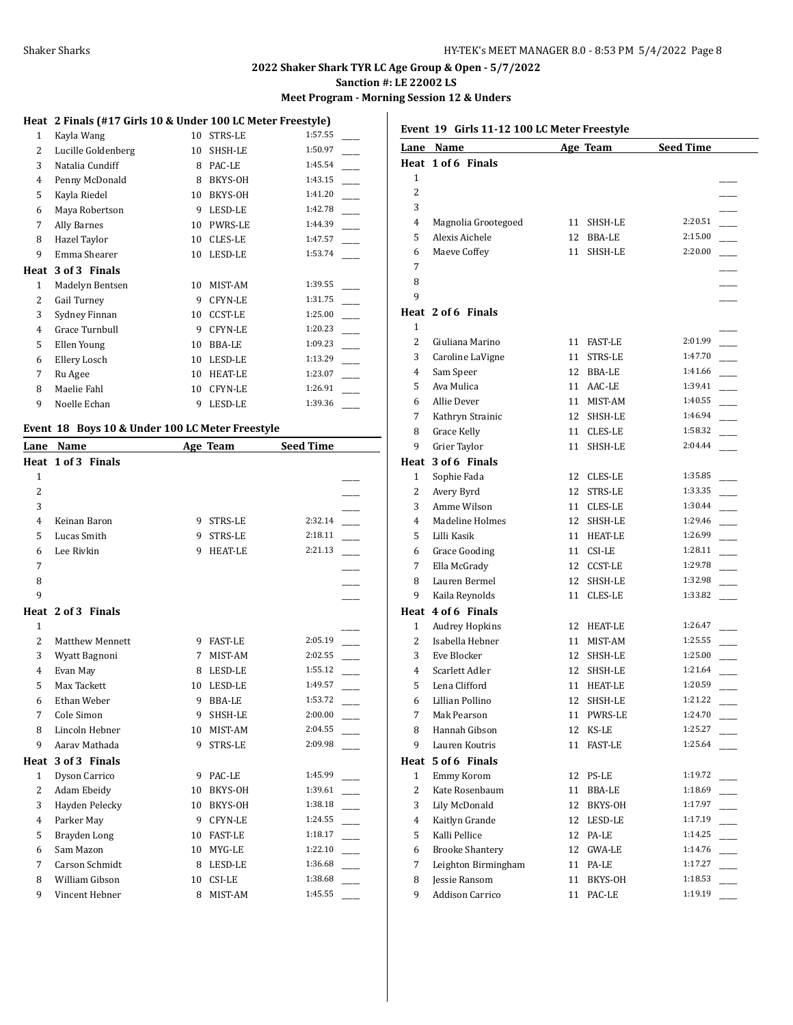**Meet Program - Morning Session 12 & Unders**

# **Heat 2 Finals (#17 Girls 10 & Under 100 LC Meter Freestyle)**

| 1            | Kayla Wang         | 10 | STRS-LE        | 1:57.55 |
|--------------|--------------------|----|----------------|---------|
| 2            | Lucille Goldenberg | 10 | SHSH-LE        | 1:50.97 |
| 3            | Natalia Cundiff    | 8  | PAC-LE         | 1:45.54 |
| 4            | Penny McDonald     | 8  | BKYS-OH        | 1:43.15 |
| 5            | Kayla Riedel       | 10 | BKYS-OH        | 1:41.20 |
| 6            | Maya Robertson     | 9  | LESD-LE        | 1:42.78 |
| 7            | Ally Barnes        | 10 | <b>PWRS-LE</b> | 1:44.39 |
| 8            | Hazel Taylor       | 10 | CLES-LE        | 1:47.57 |
| 9            | Emma Shearer       | 10 | LESD-LE        | 1:53.74 |
| Heat         | 3 of 3 Finals      |    |                |         |
|              |                    |    |                |         |
| $\mathbf{1}$ | Madelyn Bentsen    | 10 | MIST-AM        | 1:39.55 |
| 2            | Gail Turney        | 9  | CFYN-LE        | 1:31.75 |
| 3            | Sydney Finnan      | 10 | <b>CCST-LE</b> | 1:25.00 |
| 4            | Grace Turnbull     | 9  | CFYN-LE        | 1:20.23 |
| 5            | Ellen Young        | 10 | <b>BBA-LE</b>  | 1:09.23 |
| 6            | Ellery Losch       | 10 | LESD-LE        | 1:13.29 |
| 7            | Ru Agee            | 10 | <b>HEAT-LE</b> | 1:23.07 |
| 8            | Maelie Fahl        | 10 | CFYN-LE        | 1:26.91 |
| 9            | Noelle Echan       | 9  | LESD-LE        | 1:39.36 |

# **Event 18 Boys 10 & Under 100 LC Meter Freestyle**

| Lane           | Name               |    | Age Team       | <b>Seed Time</b> |  |
|----------------|--------------------|----|----------------|------------------|--|
|                | Heat 1 of 3 Finals |    |                |                  |  |
| $\mathbf{1}$   |                    |    |                |                  |  |
| $\overline{2}$ |                    |    |                |                  |  |
| 3              |                    |    |                |                  |  |
| 4              | Keinan Baron       | 9  | STRS-LE        | 2:32.14          |  |
| 5              | Lucas Smith        | 9  | <b>STRS-LE</b> | 2:18.11          |  |
| 6              | Lee Rivkin         | 9  | <b>HEAT-LE</b> | 2:21.13          |  |
| 7              |                    |    |                |                  |  |
| 8              |                    |    |                |                  |  |
| 9              |                    |    |                |                  |  |
|                | Heat 2 of 3 Finals |    |                |                  |  |
| $\mathbf{1}$   |                    |    |                |                  |  |
| $\overline{2}$ | Matthew Mennett    | 9  | <b>FAST-LE</b> | 2:05.19          |  |
| 3              | Wyatt Bagnoni      | 7  | MIST-AM        | 2:02.55          |  |
| $\overline{4}$ | Evan May           | 8  | LESD-LE        | 1:55.12          |  |
| 5              | Max Tackett        | 10 | LESD-LE        | 1:49.57          |  |
| 6              | Ethan Weber        | 9  | <b>BBA-LE</b>  | 1:53.72          |  |
| 7              | Cole Simon         | 9  | SHSH-LE        | 2:00.00          |  |
| 8              | Lincoln Hebner     | 10 | MIST-AM        | 2:04.55          |  |
| 9              | Aarav Mathada      | 9  | <b>STRS-LE</b> | 2:09.98          |  |
| Heat           | 3 of 3 Finals      |    |                |                  |  |
| 1              | Dyson Carrico      | 9  | PAC-LE         | 1:45.99          |  |
| $\overline{2}$ | Adam Ebeidy        | 10 | <b>BKYS-OH</b> | 1:39.61          |  |
| 3              | Hayden Pelecky     | 10 | BKYS-OH        | 1:38.18          |  |
| 4              | Parker May         | 9  | <b>CFYN-LE</b> | 1:24.55          |  |
| 5              | Brayden Long       | 10 | <b>FAST-LE</b> | 1:18.17          |  |
| 6              | Sam Mazon          | 10 | MYG-LE         | 1:22.10          |  |
| 7              | Carson Schmidt     | 8  | LESD-LE        | 1:36.68          |  |
| 8              | William Gibson     | 10 | CSI-LE         | 1:38.68          |  |
| 9              | Vincent Hebner     | 8  | MIST-AM        | 1:45.55          |  |

**Event 19 Girls 11-12 100 LC Meter Freestyle**

| Lane | <b>Name</b>            |    | <b>Age Team</b> | <b>Seed Time</b> |                          |
|------|------------------------|----|-----------------|------------------|--------------------------|
| Heat | 1 of 6 Finals          |    |                 |                  |                          |
| 1    |                        |    |                 |                  |                          |
| 2    |                        |    |                 |                  |                          |
| 3    |                        |    |                 |                  |                          |
| 4    | Magnolia Grootegoed    | 11 | SHSH-LE         | 2:20.51          |                          |
| 5    | Alexis Aichele         | 12 | BBA-LE          | 2:15.00          |                          |
| 6    | Maeve Coffey           | 11 | SHSH-LE         | 2:20.00          |                          |
| 7    |                        |    |                 |                  |                          |
| 8    |                        |    |                 |                  |                          |
| 9    |                        |    |                 |                  |                          |
|      | Heat 2 of 6 Finals     |    |                 |                  |                          |
| 1    |                        |    |                 |                  |                          |
| 2    | Giuliana Marino        | 11 | <b>FAST-LE</b>  | 2:01.99          |                          |
| 3    | Caroline LaVigne       | 11 | STRS-LE         | 1:47.70          |                          |
| 4    | Sam Speer              |    | 12 BBA-LE       | 1:41.66          |                          |
| 5    | Ava Mulica             |    | 11 AAC-LE       | 1:39.41          |                          |
| 6    | Allie Dever            | 11 | MIST-AM         | 1:40.55          |                          |
| 7    | Kathryn Strainic       | 12 | SHSH-LE         | 1:46.94          |                          |
| 8    | <b>Grace Kelly</b>     | 11 | CLES-LE         | 1:58.32          |                          |
| 9    | Grier Taylor           | 11 | SHSH-LE         | 2:04.44          |                          |
| Heat | 3 of 6 Finals          |    |                 |                  |                          |
| 1    | Sophie Fada            | 12 | CLES-LE         | 1:35.85          |                          |
| 2    | Avery Byrd             | 12 | STRS-LE         | 1:33.35          |                          |
| 3    | Amme Wilson            | 11 | CLES-LE         | 1:30.44          |                          |
| 4    | Madeline Holmes        | 12 | SHSH-LE         | 1:29.46          |                          |
| 5    | Lilli Kasik            | 11 | <b>HEAT-LE</b>  | 1:26.99          |                          |
| 6    | <b>Grace Gooding</b>   | 11 | CSI-LE          | 1:28.11          |                          |
| 7    | Ella McGrady           |    | 12 CCST-LE      | 1:29.78          |                          |
| 8    | Lauren Bermel          | 12 | SHSH-LE         | 1:32.98          |                          |
| 9    | Kaila Reynolds         | 11 | CLES-LE         | 1:33.82          |                          |
|      | Heat 4 of 6 Finals     |    |                 |                  |                          |
| 1    | <b>Audrey Hopkins</b>  |    | 12 HEAT-LE      | 1:26.47          |                          |
| 2    | Isabella Hebner        | 11 | MIST-AM         | 1:25.55          |                          |
| 3    | Eve Blocker            | 12 | SHSH-LE         | 1:25.00          |                          |
| 4    | Scarlett Adler         | 12 | SHSH-LE         | 1:21.64          |                          |
| 5    | Lena Clifford          | 11 | <b>HEAT-LE</b>  | 1:20.59          |                          |
| 6    | Lillian Pollino        | 12 | SHSH-LE         | 1:21.22          |                          |
| 7    | Mak Pearson            | 11 | <b>PWRS-LE</b>  | 1:24.70          |                          |
| 8    | Hannah Gibson          | 12 | KS-LE           | 1:25.27          |                          |
| 9    | Lauren Koutris         | 11 | FAST-LE         | 1:25.64          |                          |
|      | Heat 5 of 6 Finals     |    |                 |                  |                          |
| 1    | Emmy Korom             |    | 12 PS-LE        | 1:19.72          |                          |
| 2    | Kate Rosenbaum         | 11 | BBA-LE          | 1:18.69          |                          |
| 3    | Lily McDonald          | 12 | BKYS-OH         | 1:17.97          |                          |
| 4    | Kaitlyn Grande         |    | 12 LESD-LE      | 1:17.19          |                          |
| 5    | Kalli Pellice          | 12 | PA-LE           | 1:14.25          |                          |
| 6    | <b>Brooke Shantery</b> | 12 | GWA-LE          | 1:14.76          | $\overline{\phantom{a}}$ |
| 7    | Leighton Birmingham    | 11 | PA-LE           | 1:17.27          |                          |
| 8    | Jessie Ransom          | 11 | BKYS-OH         | 1:18.53          |                          |
| 9    | <b>Addison Carrico</b> | 11 | PAC-LE          | 1:19.19          |                          |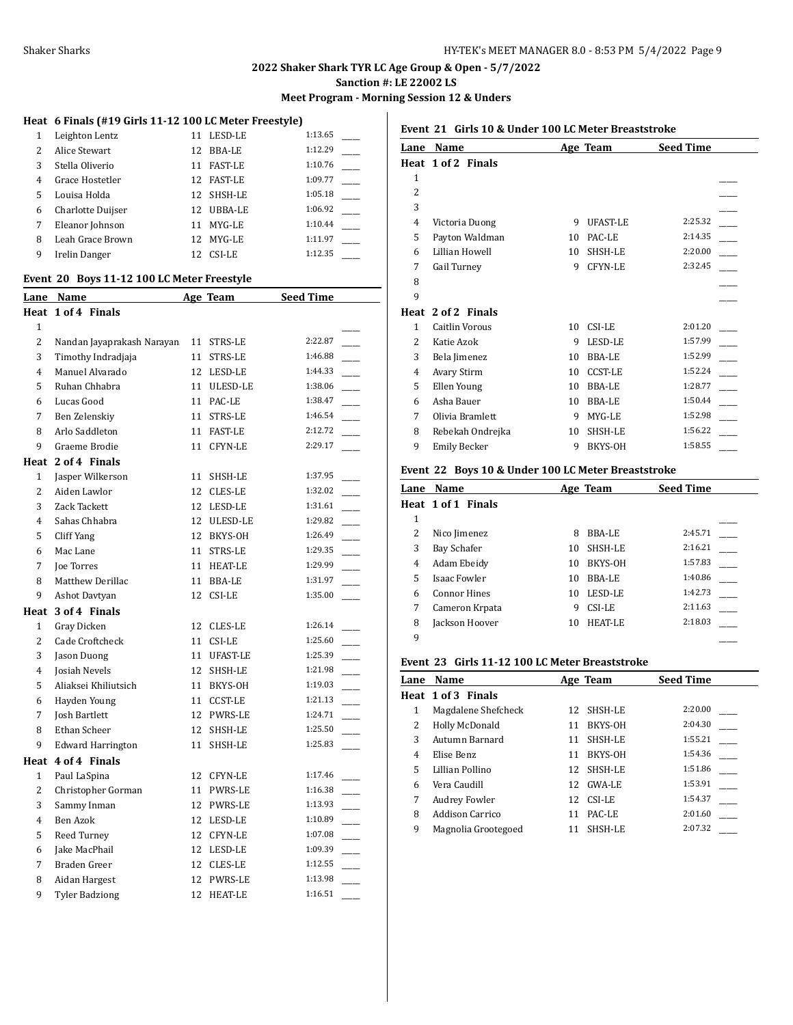**Meet Program - Morning Session 12 & Unders**

# **Heat 6 Finals (#19 Girls 11-12 100 LC Meter Freestyle)**

| 1 | Leighton Lentz    | 11 | LESD-LE        | 1:13.65 |
|---|-------------------|----|----------------|---------|
| 2 | Alice Stewart     | 12 | <b>BBA-LE</b>  | 1:12.29 |
| 3 | Stella Oliverio   | 11 | <b>FAST-LE</b> | 1:10.76 |
| 4 | Grace Hostetler   | 12 | <b>FAST-LE</b> | 1:09.77 |
| 5 | Louisa Holda      |    | 12 SHSH-LE     | 1:05.18 |
| 6 | Charlotte Duijser | 12 | UBBA-LE        | 1:06.92 |
| 7 | Eleanor Johnson   | 11 | MYG-LE         | 1:10.44 |
| 8 | Leah Grace Brown  | 12 | MYG-LE         | 1:11.97 |
| 9 | Irelin Danger     |    | CSI-LE         | 1:12.35 |

#### **Event 20 Boys 11-12 100 LC Meter Freestyle**

|                | Lane Name                  |    | Age Team       | <b>Seed Time</b> |
|----------------|----------------------------|----|----------------|------------------|
|                | Heat 1 of 4 Finals         |    |                |                  |
| 1              |                            |    |                |                  |
| $\overline{c}$ | Nandan Jayaprakash Narayan | 11 | STRS-LE        | 2:22.87          |
| 3              | Timothy Indradjaja         | 11 | STRS-LE        | 1:46.88          |
| 4              | Manuel Alvarado            |    | 12 LESD-LE     | 1:44.33          |
| 5              | Ruhan Chhabra              |    | 11 ULESD-LE    | 1:38.06          |
| 6              | Lucas Good                 | 11 | PAC-LE         | 1:38.47          |
| 7              | Ben Zelenskiy              | 11 | STRS-LE        | 1:46.54          |
| 8              | Arlo Saddleton             | 11 | <b>FAST-LE</b> | 2:12.72          |
| 9              | Graeme Brodie              | 11 | <b>CFYN-LE</b> | 2:29.17          |
|                | Heat 2 of 4 Finals         |    |                |                  |
| $\mathbf{1}$   | Jasper Wilkerson           | 11 | SHSH-LE        | 1:37.95          |
| 2              | Aiden Lawlor               | 12 | CLES-LE        | 1:32.02          |
| 3              | Zack Tackett               | 12 | LESD-LE        | 1:31.61          |
| 4              | Sahas Chhabra              | 12 | ULESD-LE       | 1:29.82          |
| 5              | Cliff Yang                 | 12 | BKYS-OH        | 1:26.49          |
| 6              | Mac Lane                   | 11 | <b>STRS-LE</b> | 1:29.35          |
| 7              | Joe Torres                 | 11 | <b>HEAT-LE</b> | 1:29.99          |
| 8              | Matthew Derillac           | 11 | BBA-LE         | 1:31.97          |
| 9              | Ashot Davtyan              | 12 | CSI-LE         | 1:35.00          |
| Heat           | 3 of 4 Finals              |    |                |                  |
| $\mathbf{1}$   | Gray Dicken                |    | 12 CLES-LE     | 1:26.14          |
| $\overline{2}$ | Cade Croftcheck            | 11 | CSI-LE         | 1:25.60          |
| 3              | Jason Duong                | 11 | UFAST-LE       | 1:25.39          |
| 4              | <b>Josiah Nevels</b>       | 12 | SHSH-LE        | 1:21.98          |
| 5              | Aliaksei Khiliutsich       | 11 | BKYS-OH        | 1:19.03          |
| 6              | Hayden Young               | 11 | <b>CCST-LE</b> | 1:21.13          |
| 7              | Josh Bartlett              |    | 12 PWRS-LE     | 1:24.71          |
| 8              | Ethan Scheer               | 12 | SHSH-LE        | 1:25.50          |
| 9              | <b>Edward Harrington</b>   | 11 | SHSH-LE        | 1:25.83          |
| Heat           | 4 of 4 Finals              |    |                |                  |
| $\mathbf{1}$   | Paul LaSpina               | 12 | CFYN-LE        | 1:17.46          |
| 2              | Christopher Gorman         | 11 | PWRS-LE        | 1:16.38          |
| 3              | Sammy Inman                |    | 12 PWRS-LE     | 1:13.93          |
| 4              | Ben Azok                   |    | 12 LESD-LE     | 1:10.89          |
| 5              | Reed Turney                | 12 | CFYN-LE        | 1:07.08          |
| 6              | Jake MacPhail              |    | 12 LESD-LE     | 1:09.39          |
| 7              | Braden Greer               | 12 | <b>CLES-LE</b> | 1:12.55          |
| 8              | Aidan Hargest              |    | 12 PWRS-LE     | 1:13.98          |
| 9              | <b>Tyler Badziong</b>      | 12 | <b>HEAT-LE</b> | 1:16.51          |

#### **Event 21 Girls 10 & Under 100 LC Meter Breaststroke**

| Lane                     | Name                  |    | Age Team       | <b>Seed Time</b> |  |
|--------------------------|-----------------------|----|----------------|------------------|--|
|                          | Heat 1 of 2 Finals    |    |                |                  |  |
| 1                        |                       |    |                |                  |  |
| $\overline{c}$           |                       |    |                |                  |  |
| 3                        |                       |    |                |                  |  |
| $\overline{4}$           | Victoria Duong        | 9  | UFAST-LE       | 2:25.32          |  |
| 5                        | Payton Waldman        | 10 | PAC-LE         | 2:14.35          |  |
| 6                        | Lillian Howell        | 10 | SHSH-LE        | 2:20.00          |  |
| 7                        | Gail Turney           | 9  | <b>CFYN-LE</b> | 2:32.45          |  |
| 8                        |                       |    |                |                  |  |
| 9                        |                       |    |                |                  |  |
| Heat                     | 2 of 2 Finals         |    |                |                  |  |
| 1                        | <b>Caitlin Vorous</b> | 10 | CSI-LE         | 2:01.20          |  |
| $\overline{\mathcal{L}}$ | Katie Azok            | 9  | LESD-LE        | 1:57.99          |  |
| 3                        | Bela Jimenez          | 10 | <b>BBA-LE</b>  | 1:52.99          |  |
| 4                        | <b>Avary Stirm</b>    | 10 | <b>CCST-LE</b> | 1:52.24          |  |
| 5                        | Ellen Young           | 10 | <b>BBA-LE</b>  | 1:28.77          |  |
| 6                        | Asha Bauer            | 10 | BBA-LE         | 1:50.44          |  |
| 7                        | Olivia Bramlett       | 9  | MYG-LE         | 1:52.98          |  |
| 8                        | Rebekah Ondrejka      | 10 | SHSH-LE        | 1:56.22          |  |
| 9                        | <b>Emily Becker</b>   | 9  | BKYS-OH        | 1:58.55          |  |

#### **Event 22 Boys 10 & Under 100 LC Meter Breaststroke**

| Lane | <b>Name</b>         |    | Age Team      | <b>Seed Time</b> |
|------|---------------------|----|---------------|------------------|
|      | Heat 1 of 1 Finals  |    |               |                  |
| 1    |                     |    |               |                  |
| 2    | Nico Jimenez        | 8  | BBA-LE        | 2:45.71          |
| 3    | Bay Schafer         | 10 | SHSH-LE       | 2:16.21          |
| 4    | Adam Ebeidy         | 10 | BKYS-OH       | 1:57.83          |
| 5    | <b>Isaac Fowler</b> | 10 | <b>BBA-LE</b> | 1:40.86          |
| 6    | <b>Connor Hines</b> | 10 | LESD-LE       | 1:42.73          |
| 7    | Cameron Krpata      | 9  | CSI-LE        | 2:11.63          |
| 8    | Jackson Hoover      | 10 | HEAT-LE       | 2:18.03          |
| 9    |                     |    |               |                  |

#### **Event 23 Girls 11-12 100 LC Meter Breaststroke**

| Lane | <b>Name</b>          |    | Age Team   | <b>Seed Time</b> |  |
|------|----------------------|----|------------|------------------|--|
|      | Heat 1 of 3 Finals   |    |            |                  |  |
| 1    | Magdalene Shefcheck  |    | 12 SHSH-LE | 2:20.00          |  |
| 2    | Holly McDonald       | 11 | BKYS-OH    | 2:04.30          |  |
| 3    | Autumn Barnard       | 11 | SHSH-LE    | 1:55.21          |  |
| 4    | Elise Benz           | 11 | BKYS-OH    | 1:54.36          |  |
| 5    | Lillian Pollino      |    | 12 SHSH-LE | 1:51.86          |  |
| 6    | Vera Caudill         |    | 12 GWA-LE  | 1:53.91          |  |
| 7    | <b>Audrey Fowler</b> |    | 12 CSI-LE  | 1:54.37          |  |
| 8    | Addison Carrico      | 11 | PAC-LE     | 2:01.60          |  |
| 9    | Magnolia Grootegoed  | 11 | SHSH-LE    | 2:07.32          |  |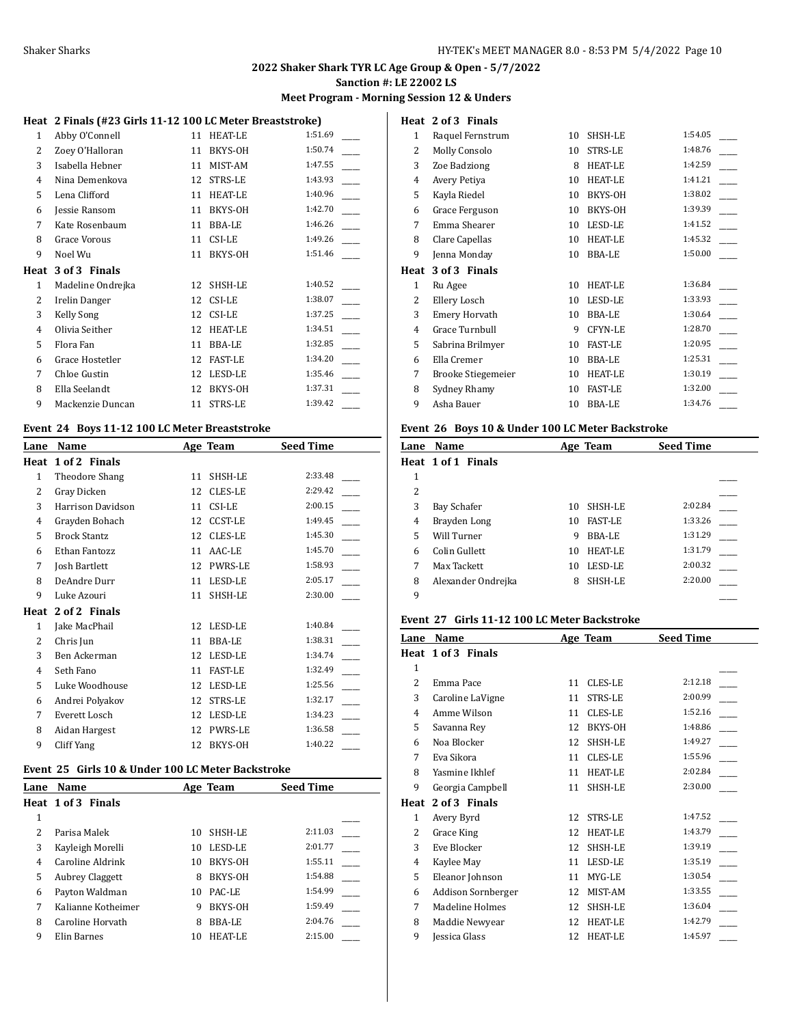**Meet Program - Morning Session 12 & Unders**

# **Heat 2 Finals (#23 Girls 11-12 100 LC Meter Breaststroke)**

| 1    | Abby O'Connell    | 11 | <b>HEAT-LE</b> | 1:51.69 |
|------|-------------------|----|----------------|---------|
| 2    | Zoey O'Halloran   | 11 | BKYS-OH        | 1:50.74 |
| 3    | Isabella Hebner   | 11 | MIST-AM        | 1:47.55 |
| 4    | Nina Demenkova    | 12 | STRS-LE        | 1:43.93 |
| 5    | Lena Clifford     | 11 | <b>HEAT-LE</b> | 1:40.96 |
| 6    | Jessie Ransom     | 11 | BKYS-OH        | 1:42.70 |
| 7    | Kate Rosenbaum    | 11 | <b>BBA-LE</b>  | 1:46.26 |
| 8    | Grace Vorous      | 11 | CSI-LE         | 1:49.26 |
| 9    | Noel Wu           | 11 | BKYS-OH        | 1:51.46 |
|      |                   |    |                |         |
| Heat | 3 of 3 Finals     |    |                |         |
| 1    | Madeline Ondrejka | 12 | SHSH-LE        | 1:40.52 |
| 2    | Irelin Danger     | 12 | CSI-LE         | 1:38.07 |
| 3    | <b>Kelly Song</b> | 12 | CSI-LE         | 1:37.25 |
| 4    | Olivia Seither    | 12 | <b>HEAT-LE</b> | 1:34.51 |
| 5    | Flora Fan         | 11 | <b>BBA-LE</b>  | 1:32.85 |
| 6    | Grace Hostetler   | 12 | <b>FAST-LE</b> | 1:34.20 |
| 7    | Chloe Gustin      | 12 | LESD-LE        | 1:35.46 |
| 8    | Ella Seelandt     | 12 | BKYS-OH        | 1:37.31 |

# **Event 24 Boys 11-12 100 LC Meter Breaststroke**

| Lane | Name                |    | Age Team       | <b>Seed Time</b> |
|------|---------------------|----|----------------|------------------|
| Heat | 1 of 2 Finals       |    |                |                  |
| 1    | Theodore Shang      | 11 | SHSH-LE        | 2:33.48          |
| 2    | Gray Dicken         | 12 | <b>CLES-LE</b> | 2:29.42          |
| 3    | Harrison Davidson   | 11 | CSI-LE         | 2:00.15          |
| 4    | Grayden Bohach      | 12 | <b>CCST-LE</b> | 1:49.45          |
| 5    | <b>Brock Stantz</b> | 12 | <b>CLES-LE</b> | 1:45.30          |
| 6    | Ethan Fantozz       | 11 | AAC-LE         | 1:45.70          |
| 7    | Josh Bartlett       | 12 | <b>PWRS-LE</b> | 1:58.93          |
| 8    | DeAndre Durr        | 11 | LESD-LE        | 2:05.17          |
| 9    | Luke Azouri         | 11 | SHSH-LE        | 2:30.00          |
| Heat | 2 of 2 Finals       |    |                |                  |
| 1    | Jake MacPhail       | 12 | LESD-LE        | 1:40.84          |
| 2    | Chris Jun           | 11 | <b>BBA-LE</b>  | 1:38.31          |
| 3    | Ben Ackerman        | 12 | LESD-LE        | 1:34.74          |
| 4    | Seth Fano           | 11 | <b>FAST-LE</b> | 1:32.49          |
| 5    | Luke Woodhouse      | 12 | LESD-LE        | 1:25.56          |
| 6    | Andrei Polyakov     | 12 | STRS-LE        | 1:32.17          |
| 7    | Everett Losch       | 12 | LESD-LE        | 1:34.23          |
| 8    | Aidan Hargest       | 12 | PWRS-LE        | 1:36.58          |
| 9    | Cliff Yang          | 12 | BKYS-OH        | 1:40.22          |

#### **Event 25 Girls 10 & Under 100 LC Meter Backstroke**

| Lane | Name                   |    | Age Team | <b>Seed Time</b> |  |
|------|------------------------|----|----------|------------------|--|
|      | Heat 1 of 3 Finals     |    |          |                  |  |
| 1    |                        |    |          |                  |  |
| 2    | Parisa Malek           | 10 | SHSH-LE  | 2:11.03          |  |
| 3    | Kayleigh Morelli       | 10 | LESD-LE  | 2:01.77          |  |
| 4    | Caroline Aldrink       | 10 | BKYS-OH  | 1:55.11          |  |
| 5    | <b>Aubrey Claggett</b> | 8  | BKYS-OH  | 1:54.88          |  |
| 6    | Payton Waldman         | 10 | PAC-LE   | 1:54.99          |  |
| 7    | Kalianne Kotheimer     | 9  | BKYS-OH  | 1:59.49          |  |
| 8    | Caroline Horvath       | 8  | BBA-LE   | 2:04.76          |  |
| 9    | Elin Barnes            | 10 | HEAT-LE  | 2:15.00          |  |

| Heat         | 2 of 3 Finals         |    |                |         |
|--------------|-----------------------|----|----------------|---------|
| $\mathbf{1}$ | Raquel Fernstrum      | 10 | SHSH-LE        | 1:54.05 |
| 2            | Molly Consolo         | 10 | <b>STRS-LE</b> | 1:48.76 |
| 3            | Zoe Badziong          | 8  | <b>HEAT-LE</b> | 1:42.59 |
| 4            | Avery Petiya          | 10 | <b>HEAT-LE</b> | 1:41.21 |
| 5            | Kayla Riedel          | 10 | BKYS-OH        | 1:38.02 |
| 6            | Grace Ferguson        | 10 | BKYS-OH        | 1:39.39 |
| 7            | Emma Shearer          | 10 | LESD-LE        | 1:41.52 |
| 8            | Clare Capellas        | 10 | <b>HEAT-LE</b> | 1:45.32 |
| 9            | Jenna Monday          | 10 | <b>BBA-LE</b>  | 1:50.00 |
| Heat         | 3 of 3 Finals         |    |                |         |
|              |                       |    |                |         |
| $\mathbf{1}$ | Ru Agee               | 10 | <b>HEAT-LE</b> | 1:36.84 |
| 2            | Ellery Losch          | 10 | LESD-LE        | 1:33.93 |
| 3            | <b>Emery Horvath</b>  | 10 | <b>BBA-LE</b>  | 1:30.64 |
| 4            | <b>Grace Turnbull</b> | 9  | <b>CFYN-LE</b> | 1:28.70 |
| 5            | Sabrina Brilmyer      | 10 | <b>FAST-LE</b> | 1:20.95 |
| 6            | Ella Cremer           | 10 | <b>BBA-LE</b>  | 1:25.31 |
| 7            | Brooke Stiegemeier    | 10 | <b>HEAT-LE</b> | 1:30.19 |
| 8            | Sydney Rhamy          | 10 | <b>FAST-LE</b> | 1:32.00 |
|              |                       |    |                |         |

#### **Event 26 Boys 10 & Under 100 LC Meter Backstroke**

| Lane | <b>Name</b>        |    | Age Team       | <b>Seed Time</b> |  |
|------|--------------------|----|----------------|------------------|--|
|      | Heat 1 of 1 Finals |    |                |                  |  |
| 1    |                    |    |                |                  |  |
| 2    |                    |    |                |                  |  |
| 3    | Bay Schafer        | 10 | SHSH-LE        | 2:02.84          |  |
| 4    | Brayden Long       | 10 | <b>FAST-LE</b> | 1:33.26          |  |
| 5    | Will Turner        | 9  | BBA-LE         | 1:31.29          |  |
| 6    | Colin Gullett      | 10 | <b>HEAT-LE</b> | 1:31.79          |  |
| 7    | Max Tackett        | 10 | LESD-LE        | 2:00.32          |  |
| 8    | Alexander Ondrejka | 8  | SHSH-LE        | 2:20.00          |  |
| 9    |                    |    |                |                  |  |

# **Event 27 Girls 11-12 100 LC Meter Backstroke**

| Lane                     | Name                   |    | Age Team       | <b>Seed Time</b> |  |
|--------------------------|------------------------|----|----------------|------------------|--|
| Heat                     | 1 of 3 Finals          |    |                |                  |  |
| 1                        |                        |    |                |                  |  |
| $\overline{\mathcal{L}}$ | Emma Pace              | 11 | <b>CLES-LE</b> | 2:12.18          |  |
| 3                        | Caroline LaVigne       | 11 | <b>STRS-LE</b> | 2:00.99          |  |
| 4                        | Amme Wilson            | 11 | CLES-LE        | 1:52.16          |  |
| 5                        | Savanna Rey            | 12 | BKYS-OH        | 1:48.86          |  |
| 6                        | Noa Blocker            | 12 | SHSH-LE        | 1:49.27          |  |
| 7                        | Eva Sikora             | 11 | <b>CLES-LE</b> | 1:55.96          |  |
| 8                        | Yasmine Ikhlef         | 11 | <b>HEAT-LE</b> | 2:02.84          |  |
| 9                        | Georgia Campbell       | 11 | SHSH-LE        | 2:30.00          |  |
| Heat                     | 2 of 3 Finals          |    |                |                  |  |
| 1                        | Avery Byrd             | 12 | STRS-LE        | 1:47.52          |  |
| 2                        | Grace King             | 12 | HEAT-LE        | 1:43.79          |  |
| 3                        | Eve Blocker            | 12 | SHSH-LE        | 1:39.19          |  |
| 4                        | Kaylee May             | 11 | LESD-LE        | 1:35.19          |  |
| 5                        | Eleanor Johnson        | 11 | MYG-LE         | 1:30.54          |  |
| 6                        | Addison Sornberger     | 12 | MIST-AM        | 1:33.55          |  |
| 7                        | <b>Madeline Holmes</b> | 12 | SHSH-LE        | 1:36.04          |  |
| 8                        | Maddie Newyear         | 12 | <b>HEAT-LE</b> | 1:42.79          |  |
| 9                        | Jessica Glass          | 12 | <b>HEAT-LE</b> | 1:45.97          |  |